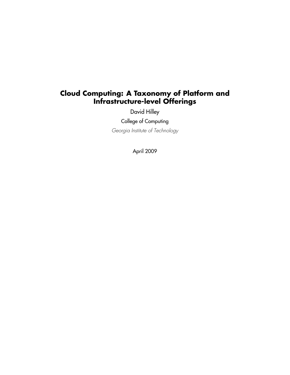# **Cloud Computing: A Taxonomy of Platform and Infrastructure-level Offerings**

David Hilley

College of Computing

Georgia Institute of Technology

April 2009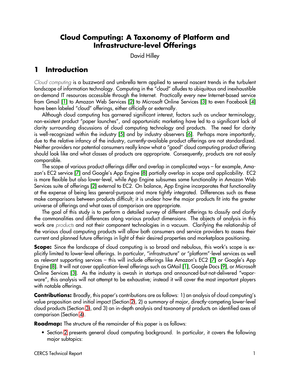# **Cloud Computing: A Taxonomy of Platform and Infrastructure-level Offerings**

David Hilley

# **1 Introduction**

Cloud computing is a buzzword and umbrella term applied to several nascent trends in the turbulent landscape of information technology. Computing in the "cloud" alludes to ubiquitous and inexhaustible on-demand IT resources accessible through the Internet. Practically every new Internet-based service from Gmail [\[1\]](#page-32-0) to Amazon Web Services [\[2\]](#page-32-1) to Microsoft Online Services [\[3\]](#page-32-2) to even Facebook [\[4\]](#page-32-3) have been labeled "cloud" offerings, either officially or externally.

Although cloud computing has garnered significant interest, factors such as unclear terminology, non-existent product "paper launches", and opportunistic marketing have led to a significant lack of clarity surrounding discussions of cloud computing technology and products. The need for clarity is well-recognized within the industry [\[5\]](#page-32-4) and by industry observers [\[6\]](#page-32-5). Perhaps more importantly, due to the relative infancy of the industry, currently-available product offerings are not standardized. Neither providers nor potential consumers really know what a "good" cloud computing product offering should look like and what classes of products are appropriate. Consequently, products are not easily comparable.

The scope of various product offerings differ and overlap in complicated ways – for example, Amazon's EC2 service [\[7\]](#page-32-6) and Google's App Engine [\[8\]](#page-32-7) partially overlap in scope and applicability. EC2 is more flexible but also lower-level, while App Engine subsumes some functionality in Amazon Web Services suite of offerings [\[2\]](#page-32-1) external to EC2. On balance, App Engine incorporates that functionality at the expense of being less general-purpose and more tightly integrated. Differences such as these make comparisons between products difficult; it is unclear how the major products fit into the greater universe of offerings and what axes of comparison are appropriate.

The goal of this study is to perform a detailed survey of different offerings to classify and clarify the commonalities and differences along various product dimensions. The objects of analysis in this work are *products* and not their component technologies in a vacuum. Clarifying the relationship of the various cloud computing products will allow both consumers and service providers to assess their current and planned future offerings in light of their desired properties and marketplace positioning.

**Scope:** Since the landscape of cloud computing is so broad and nebulous, this work's scope is explicitly limited to lower-level offerings. In particular, "infrastructure" or "platform"-level services as well as relevant supporting services – this will include offerings like Amazon's EC2 [\[7\]](#page-32-6) or Google's App Engine [\[8\]](#page-32-7). It will not cover application-level offerings such as GMail [\[1\]](#page-32-0), Google Docs [\[9\]](#page-32-8), or Microsoft Online Services [\[3\]](#page-32-2). As the industry is awash in startups and announced-but-not-delivered "vaporware", this analysis will not attempt to be exhaustive; instead it will cover the most important players with notable offerings.

**Contributions:** Broadly, this paper's contributions are as follows: 1) an analysis of cloud computing's value proposition and initial impact (Section [2\)](#page-2-0), 2) a summary of major, directly-competing lower-level cloud products (Section [3\)](#page-11-0), and 3) an in-depth analysis and taxonomy of products on identified axes of comparison (Section [4\)](#page-17-0).

**Roadmap:** The structure of the remainder of this paper is as follows:

• Section [2](#page-2-0) presents general cloud computing background. In particular, it covers the following major subtopics: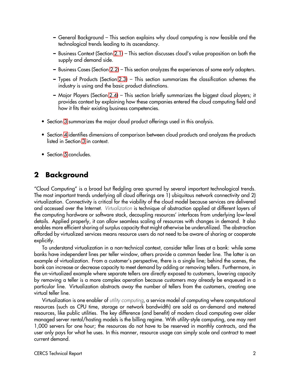- **–** General Background This section explains why cloud computing is now feasible and the technological trends leading to its ascendancy.
- **–** Business Context (Section [2.1\)](#page-3-0) This section discusses cloud's value proposition on both the supply and demand side.
- **–** Business Cases (Section [2.2\)](#page-4-0) This section analyzes the experiences of some early adopters.
- **–** Types of Products (Section [2.3\)](#page-6-0) This section summarizes the classification schemes the industry is using and the basic product distinctions.
- **–** Major Players (Section [2.4\)](#page-8-0) This section briefly summarizes the biggest cloud players; it provides context by explaining how these companies entered the cloud computing field and how it fits their existing business competencies.
- Section [3](#page-11-0) summarizes the major cloud product offerings used in this analysis.
- Section [4](#page-17-0) identifies dimensions of comparison between cloud products and analyzes the products listed in Section [3](#page-11-0) in context.
- Section [5](#page-30-0) concludes.

# <span id="page-2-0"></span>**2 Background**

"Cloud Computing" is a broad but fledgling area spurred by several important technological trends. The most important trends underlying all cloud offerings are 1) ubiquitous network connectivity and 2) virtualization. Connectivity is critical for the viability of the cloud model because services are delivered and accessed over the Internet. Virtualization is technique of abstraction applied at different layers of the computing hardware or software stack, decoupling resources' interfaces from underlying low-level details. Applied properly, it can allow seamless scaling of resources with changes in demand. It also enables more efficient sharing of surplus capacity that might otherwise be underutilized. The abstraction afforded by virtualized services means resource users do not need to be aware of sharing or cooperate explicitly.

To understand virtualization in a non-technical context, consider teller lines at a bank: while some banks have independent lines per teller window, others provide a common feeder line. The latter is an example of virtualization. From a customer's perspective, there is a single line; behind the scenes, the bank can increase or decrease capacity to meet demand by adding or removing tellers. Furthermore, in the un-virtualized example where separate tellers are directly exposed to customers, lowering capacity by removing a teller is a more complex operation because customers may already be enqueued in a particular line. Virtualization abstracts away the number of tellers from the customers, creating one virtual teller line.

Virtualization is one enabler of *utility computing*, a service model of computing where computational resources (such as CPU time, storage or network bandwidth) are sold as on-demand and metered resources, like public utilities. The key difference (and benefit) of modern cloud computing over older managed server rental/hosting models is the billing regime. With utility-style computing, one may rent 1,000 servers for one hour; the resources do not have to be reserved in monthly contracts, and the user only pays for what he uses. In this manner, resource usage can simply scale and contract to meet current demand.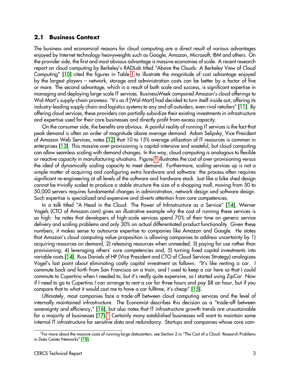#### <span id="page-3-0"></span>**2.1 Business Context**

The business and economical reasons for cloud computing are a direct result of various advantages enjoyed by Internet technology heavyweights such as Google, Amazon, Microsoft, IBM and others. On the provider side, the first and most obvious advantage is massive economies of scale. A recent research report on cloud computing by Berkeley's RADLab titled "Above the Clouds: A Berkeley View of Cloud Computing" [\[10\]](#page-32-9) cited the figures in Table [1](#page-4-1) to illustrate the magnitude of cost advantage enjoyed by the largest players – network, storage and administration costs can be better by a factor of five or more. The second advantage, which is a result of both scale and success, is significant expertise in managing and deploying large-scale IT services. BusinessWeek compared Amazon's cloud offerings to Wal-Mart's supply-chain prowess: "It's as if [Wal-Mart] had decided to turn itself inside out, offering its industry-leading supply chain and logistics systems to any and all outsiders, even rival retailers" [\[11\]](#page-32-10). By offering cloud services, these providers can partially subsidize their existing investments in infrastructure and expertise used for their core businesses and directly profit from excess capacity.

On the consumer side, the benefits are obvious. A painful reality of running IT services is the fact that peak demand is often an order of magnitude above average demand. Adam Selipsky, Vice President of Amazon Web Services, notes [\[12\]](#page-32-11) that 10 to 15% average utilization of IT resources is common in enterprises [\[13\]](#page-32-12). This massive over-provisioning is capital-intensive and wasteful, but cloud computing can allow seamless scaling with demand changes. In this way, cloud computing is analogous to flexible or reactive capacity in manufacturing situations. Figure [1](#page-4-2) illustrates the cost of over-provisioning versus the ideal of dynamically scaling capacity to meet demand. Furthermore, scaling services up is not a simple matter of acquiring and configuring extra hardware and software: the process often requires significant re-engineering at all levels of the software and hardware stack. Just like a bike shed design cannot be trivially scaled to produce a stable structure the size of a shopping mall, moving from 50 to 50,000 servers requires fundamental changes in administration, network design and software design. Such expertise is specialized and expensive and diverts attention from core competencies.

In a talk titled "A Head in the Cloud: The Power of Infrastructure as a Service" [\[14\]](#page-32-13), Werner Vogels (CTO of Amazon.com) gives an illustrative example why the cost of running these services is so high: he notes that developers of high-scale services spend 70% of their time on generic service delivery and scaling problems and only 30% on actual differentiated product functionality. Given these numbers, it makes sense to outsource expertise to companies like Amazon and Google. He states that Amazon's cloud computing value proposition is allowing companies to address uncertainty by 1) acquiring resources on demand, 2) releasing resources when unneeded, 3) paying for use rather than provisioning, 4) leveraging others' core competencies and, 5) turning fixed capital investments into variable costs [\[14\]](#page-32-13). Russ Daniels of HP (Vice President and CTO of Cloud Services Strategy) analogizes Vogel's last point about eliminating costly capital investment as follows: "It's like renting a car. I commute back and forth from San Francisco on a train, and I used to keep a car here so that I could commute to Cupertino when I needed to, but it's really quite expensive, so I started using ZipCar. Now if I need to go to Cupertino I can arrange to rent a car for three hours and pay \$8 an hour, but if you compare that to what it would cost me to have a car fulltime, it's cheap" [\[15\]](#page-32-14).

Ultimately, most companies face a trade-off between cloud computing services and the level of internally maintained infrastructure. The Economist describes this decision as a "trade-off between sovereignty and efficiency," [\[16\]](#page-32-15), but also notes that IT infrastructure growth trends are unsustainable for a majority of businesses [\[17\]](#page-32-16).<sup>[1](#page-3-1)</sup> Certainly many established businesses will want to maintain some internal IT infrastructure for sensitive data and redundancy. Startups and companies whose core com-

<span id="page-3-1"></span><sup>&</sup>lt;sup>1</sup>For more about the massive costs of running large datacenters, see Section 2 in "The Cost of a Cloud: Research Problems in Data Center Networks" [\[18\]](#page-32-17).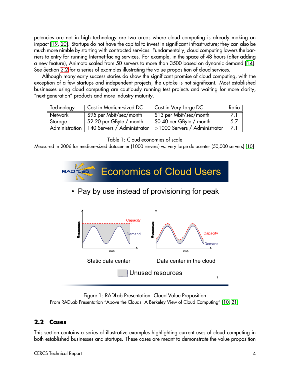petencies are not in high technology are two areas where cloud computing is already making an impact [\[19,](#page-32-18) [20\]](#page-32-19). Startups do not have the capital to invest in significant infrastructure; they can also be much more nimble by starting with contracted services. Fundamentally, cloud computing lowers the barriers to entry for running Internet-facing services. For example, in the space of 48 hours (after adding a new feature), Animoto scaled from 50 servers to more than 3500 based on dynamic demand [\[14\]](#page-32-13). See Section [2.2](#page-4-0) for a series of examples illustrating the value proposition of cloud services.

Although many early success stories do show the significant promise of cloud computing, with the exception of a few startups and independent projects, the uptake is not significant. Most established businesses using cloud computing are cautiously running test projects and waiting for more clarity, "next generation" products and more industry maturity.

| Technology | Cost in Medium-sized DC                      | Cost in Very Large DC              | Ratio |
|------------|----------------------------------------------|------------------------------------|-------|
| Network    | \$95 per Mbit/sec/month                      | \$13 per Mbit/sec/month            | . Z.I |
| Storage    | $$2.20$ per GByte / month                    | ∣ \$0.40 per GByte / month         | -5.7  |
|            | Administration   140 Servers / Administrator | $  > 1000$ Servers / Administrator | - 7.1 |

#### <span id="page-4-1"></span>Table 1: Cloud economies of scale

Measured in 2006 for medium-sized datacenter (1000 servers) vs. very large datacenter (50,000 servers) [\[10\]](#page-32-9)



• Pay by use instead of provisioning for peak



<span id="page-4-2"></span>Figure 1: RADLab Presentation: Cloud Value Proposition From RADLab Presentation "Above the Clouds: A Berkeley View of Cloud Computing" [\[10,](#page-32-9) [21\]](#page-32-20)

#### <span id="page-4-0"></span>**2.2 Cases**

This section contains a series of illustrative examples highlighting current uses of cloud computing in both established businesses and startups. These cases are meant to demonstrate the value proposition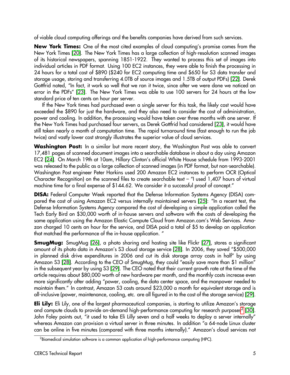of viable cloud computing offerings and the benefits companies have derived from such services.

**New York Times:** One of the most cited examples of cloud computing's promise comes from the New York Times [\[20\]](#page-32-19). The New York Times has a large collection of high-resolution scanned images of its historical newspapers, spanning 1851-1922. They wanted to process this set of images into individual articles in PDF format. Using 100 EC2 instances, they were able to finish the processing in 24 hours for a total cost of \$890 (\$240 for EC2 computing time and \$650 for S3 data transfer and storage usage, storing and transferring 4.0TB of source images and 1.5TB of output PDFs) [\[22\]](#page-33-0). Derek Gottfrid noted, "In fact, it work so well that we ran it twice, since after we were done we noticed an error in the PDFs" [\[23\]](#page-33-1). The New York Times was able to use 100 servers for 24 hours at the low standard price of ten cents an hour per server.

If the New York times had purchased even a single server for this task, the likely cost would have exceeded the \$890 for just the hardware, and they also need to consider the cost of administration, power and cooling. In addition, the processing would have taken over three months with one server. If the New York Times had purchased four servers, as Derek Gottfrid had considered [\[23\]](#page-33-1), it would have still taken nearly a month of computation time. The rapid turnaround time (fast enough to run the job twice) and vastly lower cost strongly illustrates the superior value of cloud services.

**Washington Post:** In a similar but more recent story, the Washington Post was able to convert 17,481 pages of scanned document images into a searchable database in about a day using Amazon EC2 [\[24\]](#page-33-2). On March 19th at 10am, Hillary Clinton's official White House schedule from 1993-2001 was released to the public as a large collection of scanned images (in PDF format, but non-searchable). Washington Post engineer Peter Harkins used 200 Amazon EC2 instances to perform OCR (Optical Character Recognition) on the scanned files to create searchable text – "I used 1,407 hours of virtual machine time for a final expense of \$144.62. We consider it a successful proof of concept."

**DISA:** Federal Computer Week reported that the Defense Information Systems Agency (DISA) compared the cost of using Amazon EC2 versus internally maintained servers [\[25\]](#page-33-3): "In a recent test, the Defense Information Systems Agency compared the cost of developing a simple application called the Tech Early Bird on \$30,000 worth of in-house servers and software with the costs of developing the same application using the Amazon Elastic Compute Cloud from Amazon.com's Web Services. Amazon charged 10 cents an hour for the service, and DISA paid a total of \$5 to develop an application that matched the performance of the in-house application. "

**SmugMug:** SmugMug [\[26\]](#page-33-4), a photo sharing and hosting site like Flickr [\[27\]](#page-33-5), stores a significant amount of its photo data in Amazon's S3 cloud storage service [\[28\]](#page-33-6). In 2006, they saved "\$500,000 in planned disk drive expenditures in 2006 and cut its disk storage array costs in half" by using Amazon S3 [\[28\]](#page-33-6). According to the CEO of SmugMug, they could "easily save more than \$1 million" in the subsequent year by using S3 [\[29\]](#page-33-7). The CEO noted that their current growth rate at the time of the article requires about \$80,000 worth of new hardware per month, and the monthly costs increase even more significantly after adding "power, cooling, the data center space, and the manpower needed to maintain them." In contrast, Amazon S3 costs around \$23,000 a month for equivalent storage and is all-inclusive (power, maintenance, cooling, etc. are all figured in to the cost of the storage service) [\[29\]](#page-33-7).

**Eli Lily:** Eli Lily, one of the largest pharmaceutical companies, is starting to utilize Amazon's storage and compute clouds to provide on-demand high-performance computing for research purposes $^2$  $^2$  [\[30\]](#page-33-8). John Foley points out, "it used to take Eli Lilly seven and a half weeks to deploy a server internally" whereas Amazon can provision a virtual server in three minutes. In addition "a 64-node Linux cluster can be online in five minutes (compared with three months internally)." Amazon's cloud services not

<span id="page-5-0"></span> $^2$ Biomedical simulation software is a common application of high-performance computing (HPC).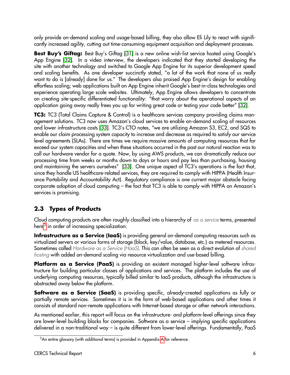only provide on-demand scaling and usage-based billing, they also allow Eli Lily to react with significantly increased agility, cutting out time-consuming equipment acquisition and deployment processes.

**Best Buy's Giftag:** Best Buy's Giftag [\[31\]](#page-33-9) is a new online wish-list service hosted using Google's App Engine [\[32\]](#page-33-10). In a video interview, the developers indicated that they started developing the site with another technology and switched to Google App Engine for its superior development speed and scaling benefits. As one developer succinctly stated, "a lot of the work that none of us really want to do is [already] done for us." The developers also praised App Engine's design for enabling effortless scaling; web applications built on App Engine inherit Google's best-in-class technologies and experience operating large scale websites. Ultimately, App Engine allows developers to concentrate on creating site-specific differentiated functionality: "that worry about the operational aspects of an application going away really frees you up for writing great code or testing your code better" [\[32\]](#page-33-10).

**TC3:** TC3 (Total Claims Capture & Control) is a healthcare services company providing claims management solutions. TC3 now uses Amazon's cloud services to enable on-demand scaling of resources and lower infrastructure costs [\[33\]](#page-33-11). TC3's CTO notes, "we are utilizing Amazon S3, EC2, and SQS to enable our claim processing system capacity to increase and decrease as required to satisfy our service level agreements (SLAs). There are times we require massive amounts of computing resources that far exceed our system capacities and when these situations occurred in the past our natural reaction was to call our hardware vendor for a quote. Now, by using AWS products, we can dramatically reduce our processing time from weeks or months down to days or hours and pay less than purchasing, housing and maintaining the servers ourselves" [\[33\]](#page-33-11). One unique aspect of TC3's operations is the fact that, since they handle US healthcare-related services, they are required to comply with HIPPA (Health Insurance Portability and Accountability Act). Regulatory compliance is one current major obstacle facing corporate adoption of cloud computing – the fact that TC3 is able to comply with HIPPA on Amazon's services is promising.

# <span id="page-6-0"></span>**2.3 Types of Products**

Cloud computing products are often roughly classified into a hierarchy of  $\sim$ as a service terms, presented here $^3$  $^3$  in order of increasing specialization:

**Infrastructure as a Service (IaaS)** is providing general on-demand computing resources such as virtualized servers or various forms of storage (block, key/value, database, etc.) as metered resources. Sometimes called Hardware as a Service (HaaS). This can often be seen as a direct evolution of shared hosting with added on-demand scaling via resource virtualization and use-based billing.

**Platform as a Service (PaaS)** is providing an existent managed higher-level software infrastructure for building particular classes of applications and services. The platform includes the use of underlying computing resources, typically billed similar to IaaS products, although the infrastructure is abstracted away below the platform.

**Software as a Service (SaaS)** is providing specific, already-created applications as fully or partially remote services. Sometimes it is in the form of web-based applications and other times it consists of standard non-remote applications with Internet-based storage or other network interactions.

As mentioned earlier, this report will focus on the infrastructure- and platform-level offerings since they are lower-level building blocks for companies. Software as a service – implying specific applications delivered in a non-traditional way – is quite different from lower-level offerings. Fundamentally, PaaS

<span id="page-6-1"></span><sup>&</sup>lt;sup>3</sup>An entire glossary (with additional terms) is provided in [A](#page-31-0)ppendix A for reference.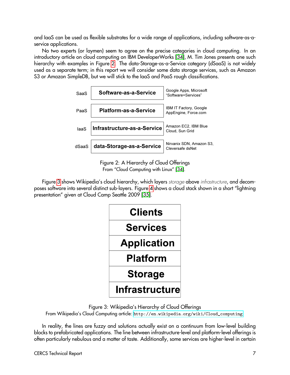and IaaS can be used as flexible substrates for a wide range of applications, including software-as-aservice applications.

No two experts (or laymen) seem to agree on the precise categories in cloud computing. In an introductory article on cloud computing on IBM DeveloperWorks [\[34\]](#page-33-12), M. Tim Jones presents one such hierarchy with examples in Figure [2.](#page-7-0) The data-Storage-as-a-Service category (dSaaS) is not widely used as a separate term; in this report we will consider some data storage services, such as Amazon S3 or Amazon SimpleDB, but we will stick to the IaaS and PaaS rough classifications.



<span id="page-7-0"></span>Figure 2: A Hierarchy of Cloud Offerings From "Cloud Computing with Linux" [\[34\]](#page-33-12).

Figure [3](#page-7-1) shows Wikipedia's cloud hierarchy, which layers storage above infrastructure, and decomposes software into several distinct sub-layers. Figure [4](#page-8-1) shows a cloud stack shown in a short "lightning presentation" given at Cloud Camp Seattle 2009 [\[35\]](#page-33-13).



<span id="page-7-1"></span>Figure 3: Wikipedia's Hierarchy of Cloud Offerings

From Wikipedia's Cloud Computing article: [http://en.wikipedia.org/wiki/Cloud\\_computing](http://en.wikipedia.org/wiki/Cloud_computing)

In reality, the lines are fuzzy and solutions actually exist on a continuum from low-level building blocks to prefabricated applications. The line between infrastructure-level and platform-level offerings is often particularly nebulous and a matter of taste. Additionally, some services are higher-level in certain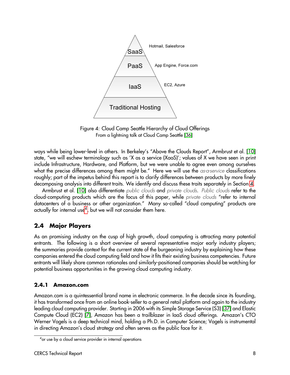

<span id="page-8-1"></span>Figure 4: Cloud Camp Seattle Hierarchy of Cloud Offerings From a lightning talk at Cloud Camp Seattle [\[36\]](#page-33-14)

ways while being lower-level in others. In Berkeley's "Above the Clouds Report", Armbrust et al. [\[10\]](#page-32-9) state, "we will eschew terminology such as 'X as a service (XaaS)'; values of X we have seen in print include Infrastructure, Hardware, and Platform, but we were unable to agree even among ourselves what the precise differences among them might be." Here we will use the as-a-service classifications roughly; part of the impetus behind this report is to clarify differences between products by more finely decomposing analysis into different traits. We identify and discuss these traits separately in Section [4.](#page-17-0)

Armbrust et al. [\[10\]](#page-32-9) also differentiate public clouds and private clouds. Public clouds refer to the cloud-computing products which are the focus of this paper, while private clouds "refer to internal datacenters of a business or other organization." Many so-called "cloud computing" products are actually for internal use<sup>[4](#page-8-2)</sup>, but we will not consider them here.

# <span id="page-8-0"></span>**2.4 Major Players**

As an promising industry on the cusp of high growth, cloud computing is attracting many potential entrants. The following is a short overview of several representative major early industry players; the summaries provide context for the current state of the burgeoning industry by explaining how these companies entered the cloud computing field and how it fits their existing business competencies. Future entrants will likely share common rationales and similarly-positioned companies should be watching for potential business opportunities in the growing cloud computing industry.

#### **2.4.1 Amazon.com**

Amazon.com is a quintessential brand name in electronic commerce. In the decade since its founding, it has transformed once from an online book-seller to a general retail platform and again to the industry leading cloud computing provider. Starting in 2006 with its Simple Storage Service (S3) [\[37\]](#page-33-15) and Elastic Compute Cloud (EC2) [\[7\]](#page-32-6), Amazon has been a trailblazer in IaaS cloud offerings. Amazon's CTO Werner Vogels is a deep technical mind, holding a Ph.D. in Computer Science; Vogels is instrumental in directing Amazon's cloud strategy and often serves as the public face for it.

<span id="page-8-2"></span><sup>4</sup> or use by a cloud service provider in internal operations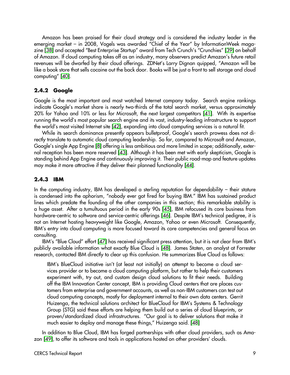Amazon has been praised for their cloud strategy and is considered the industry leader in the emerging market – in 2008, Vogels was awarded "Chief of the Year" by InformationWeek magazine [\[38\]](#page-33-16) and accepted "Best Enterprise Startup" award from Tech Crunch's "Crunchies" [\[39\]](#page-33-17) on behalf of Amazon. If cloud computing takes off as an industry, many observers predict Amazon's future retail revenues will be dwarfed by their cloud offerings. ZDNet's Larry Dignan quipped, "Amazon will be like a book store that sells cocaine out the back door. Books will be just a front to sell storage and cloud computing" [\[40\]](#page-33-18).

#### **2.4.2 Google**

Google is the most important and most watched Internet company today. Search engine rankings indicate Google's market share is nearly two-thirds of the total search market, versus approximately 20% for Yahoo and 10% or less for Microsoft, the next largest competitors [\[41\]](#page-33-19). With its expertise running the world's most popular search engine and its vast, industry-leading infrastructure to support the world's most visited Internet site [\[42\]](#page-33-20), expanding into cloud computing services is a natural fit.

While its search dominance presently appears bulletproof, Google's search prowess does not directly translate to automatic cloud computing leadership. So far, compared to Microsoft and Amazon, Google's single App Engine [\[8\]](#page-32-7) offering is less ambitious and more limited in scope; additionally, external reception has been more reserved [\[43\]](#page-33-21). Although it has been met with early skepticism, Google is standing behind App Engine and continuously improving it. Their public road-map and feature updates may make it more attractive if they deliver their planned functionality [\[44\]](#page-34-0).

#### **2.4.3 IBM**

In the computing industry, IBM has developed a sterling reputation for dependability – their stature is condensed into the aphorism, "nobody ever got fired for buying IBM." IBM has sustained product lines which predate the founding of the other companies in this section; this remarkable stability is a huge asset. After a tumultuous period in the early 90s [\[45\]](#page-34-1), IBM refocused its core business from hardware-centric to software and service-centric offerings [\[46\]](#page-34-2). Despite IBM's technical pedigree, it is not an Internet hosting heavyweight like Google, Amazon, Yahoo or even Microsoft. Consequently, IBM's entry into cloud computing is more focused toward its core competencies and general focus on consulting.

IBM's "Blue Cloud" effort [\[47\]](#page-34-3) has received significant press attention, but it is not clear from IBM's publicly available information what exactly Blue Cloud is [\[48\]](#page-34-4). James Staten, an analyst at Forrester research, contacted IBM directly to clear up this confusion. He summarizes Blue Cloud as follows:

IBM's BlueCloud initiative isn't (at least not initially) an attempt to become a cloud services provider or to become a cloud computing platform, but rather to help their customers experiment with, try out, and custom design cloud solutions to fit their needs. Building off the IBM Innovation Center concept, IBM is providing Cloud centers that are places customers from enterprise and government accounts, as well as non-IBM customers can test out cloud computing concepts, mostly for deployment internal to their own data centers. Gerrit Huizenga, the technical solutions architect for BlueCloud for IBM's Systems & Technology Group (STG) said these efforts are helping them build out a series of cloud blueprints, or proven/standardized cloud infrastructures. "Our goal is to deliver solutions that make it much easier to deploy and manage these things," Huizenga said. [\[48\]](#page-34-4)

In addition to Blue Cloud, IBM has forged partnerships with other cloud providers, such as Amazon [\[49\]](#page-34-5), to offer its software and tools in applications hosted on other providers' clouds.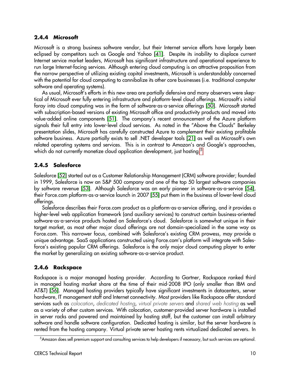#### **2.4.4 Microsoft**

Microsoft is a strong business software vendor, but their Internet service efforts have largely been eclipsed by competitors such as Google and Yahoo [\[41\]](#page-33-19). Despite its inability to displace current Internet service market leaders, Microsoft has significant infrastructure and operational experience to run large Internet-facing services. Although entering cloud computing is an attractive proposition from the narrow perspective of utilizing existing capital investments, Microsoft is understandably concerned with the potential for cloud computing to cannibalize its other core businesses (i.e. traditional computer software and operating systems).

As usual, Microsoft's efforts in this new area are partially defensive and many observers were skeptical of Microsoft ever fully entering infrastructure and platform-level cloud offerings. Microsoft's initial foray into cloud computing was in the form of software-as-a-service offerings [\[50\]](#page-34-6). Microsoft started with subscription-based versions of existing Microsoft office and productivity products and moved into value-added online components [\[51\]](#page-34-7). The company's recent announcement of the Azure platform signals their full entry into lower-level cloud services. As noted in the "Above the Clouds" Berkeley presentation slides, Microsoft has carefully constructed Azure to complement their existing profitable software business. Azure partially exists to sell .NET developer tools [\[21\]](#page-32-20) as well as Microsoft's own related operating systems and services. This is in contrast to Amazon's and Google's approaches, which do not currently monetize cloud application development, just hosting.<sup>[5](#page-10-0)</sup>

## **2.4.5 Salesforce**

Salesforce [\[52\]](#page-34-8) started out as a Customer Relationship Management (CRM) software provider; founded in 1999, Salesforce is now an S&P 500 company and one of the top 50 largest software companies by software revenue [\[53\]](#page-34-9). Although Salesforce was an early pioneer in software-as-a-service [\[54\]](#page-34-10), their Force.com platform-as-a-service launch in 2007 [\[55\]](#page-34-11) put them in the business of lower-level cloud offerings.

Salesforce describes their Force.com product as a platform-as-a-service offering, and it provides a higher-level web application framework (and auxiliary services) to construct certain business-oriented software-as-a-service products hosted on Salesforce's cloud. Salesforce is somewhat unique in their target market, as most other major cloud offerings are not domain-specialized in the same way as Force.com. This narrower focus, combined with Salesforce's existing CRM prowess, may provide a unique advantage. SaaS applications constructed using Force.com's platform will integrate with Salesforce's existing popular CRM offerings. Salesforce is the only major cloud computing player to enter the market by generalizing an existing software-as-a-service product.

## **2.4.6 Rackspace**

Rackspace is a major managed hosting provider. According to Gartner, Rackspace ranked third in managed hosting market share at the time of their mid-2008 IPO (only smaller than IBM and AT&T) [\[56\]](#page-34-12). Managed hosting providers typically have significant investments in datacenters, server hardware, IT management staff and Internet connectivity. Most providers like Rackspace offer standard services such as colocation, dedicated hosting, virtual private servers and shared web hosting as well as a variety of other custom services. With colocation, customer-provided server hardware is installed in server racks and powered and maintained by hosting staff, but the customer can install arbitrary software and handle software configuration. Dedicated hosting is similar, but the server hardware is rented from the hosting company. Virtual private server hosting rents virtualized dedicated servers. In

<span id="page-10-0"></span><sup>5</sup>Amazon does sell premium support and consulting services to help developers if necessary, but such services are optional.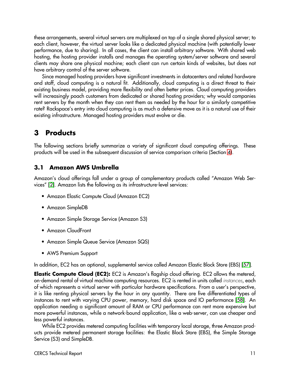these arrangements, several virtual servers are multiplexed on top of a single shared physical server; to each client, however, the virtual server looks like a dedicated physical machine (with potentially lower performance, due to sharing). In all cases, the client can install arbitrary software. With shared web hosting, the hosting provider installs and manages the operating system/server software and several clients may share one physical machine; each client can run certain kinds of websites, but does not have arbitrary control of the server software.

Since managed hosting providers have significant investments in datacenters and related hardware and staff, cloud computing is a natural fit. Additionally, cloud computing is a direct threat to their existing business model, providing more flexibility and often better prices. Cloud computing providers will increasingly poach customers from dedicated or shared hosting providers; why would companies rent servers by the month when they can rent them as needed by the hour for a similarly competitive rate? Rackspace's entry into cloud computing is as much a defensive move as it is a natural use of their existing infrastructure. Managed hosting providers must evolve or die.

# <span id="page-11-0"></span>**3 Products**

The following sections briefly summarize a variety of significant cloud computing offerings. These products will be used in the subsequent discussion of service comparison criteria (Section [4\)](#page-17-0).

#### **3.1 Amazon AWS Umbrella**

Amazon's cloud offerings fall under a group of complementary products called "Amazon Web Services" [\[2\]](#page-32-1). Amazon lists the following as its infrastructure-level services:

- Amazon Elastic Compute Cloud (Amazon EC2)
- Amazon SimpleDB
- Amazon Simple Storage Service (Amazon S3)
- Amazon CloudFront
- Amazon Simple Queue Service (Amazon SQS)
- AWS Premium Support

In addition, EC2 has an optional, supplemental service called Amazon Elastic Block Store (EBS) [\[57\]](#page-34-13).

**Elastic Compute Cloud (EC2):** EC2 is Amazon's flagship cloud offering. EC2 allows the metered, on-demand rental of virtual machine computing resources. EC2 is rented in units called instances, each of which represents a virtual server with particular hardware specifications. From a user's perspective, it is like renting physical servers by the hour in any quantity. There are five differentiated types of instances to rent with varying CPU power, memory, hard disk space and IO performance [\[58\]](#page-34-14). An application needing a significant amount of RAM or CPU performance can rent more expensive but more powerful instances, while a network-bound application, like a web-server, can use cheaper and less powerful instances.

While EC2 provides metered computing facilities with temporary local storage, three Amazon products provide metered permanent storage facilities: the Elastic Block Store (EBS), the Simple Storage Service (S3) and SimpleDB.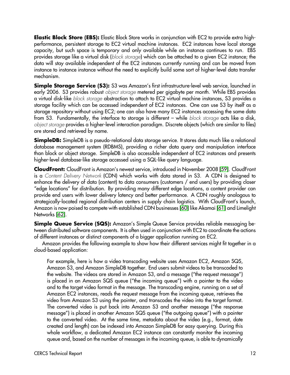**Elastic Block Store (EBS):** Elastic Block Store works in conjunction with EC2 to provide extra highperformance, persistent storage to EC2 virtual machine instances. EC2 instances have local storage capacity, but such space is temporary and only available while an instance continues to run. EBS provides storage like a virtual disk (block storage) which can be attached to a given EC2 instance; the data will stay available independent of the EC2 instances currently running and can be moved from instance to instance instance without the need to explicitly build some sort of higher-level data transfer mechanism.

**Simple Storage Service (S3):** S3 was Amazon's first infrastructure-level web service, launched in early 2006. S3 provides robust *object storage* metered per gigabyte per month. While EBS provides a virtual disk-like block storage abstraction to attach to EC2 virtual machine instances, S3 provides a storage facility which can be accessed independent of EC2 instances. One can use S3 by itself as a storage repository without using EC2; one can also have many EC2 instances accessing the same data from S3. Fundamentally, the interface to storage is different – while block storage acts like a disk, object storage provides a higher-level interaction paradigm. Discrete objects (which are similar to files) are stored and retrieved by name.

**SimpleDB:** SimpleDB is a pseudo-relational data storage service. It stores data much like a relational database management system (RDBMS), providing a richer data query and manipulation interface than block or object storage. SimpleDB is also accessible independent of EC2 instances and presents higher-level database-like storage accessed using a SQL-like query language.

**CloudFront:** CloudFront is Amazon's newest service, introduced in November 2008 [\[59\]](#page-34-15). CloudFront is a Content Delivery Network (CDN) which works with data stored in S3. A CDN is designed to enhance the delivery of data (content) to data consumers (customers / end users) by providing closer "edge locations" for distribution. By providing many different edge locations, a content provider can provide end users with lower delivery latency and better performance. A CDN roughly analogous to strategically-located regional distribution centers in supply chain logistics. With CloudFront's launch, Amazon is now poised to compete with established CDN businesses [\[60\]](#page-34-16) like Akamai [\[61\]](#page-34-17) and Limelight Networks [\[62\]](#page-34-18).

**Simple Queue Service (SQS):** Amazon's Simple Queue Service provides reliable messaging between distributed software components. It is often used in conjunction with EC2 to coordinate the actions of different instances or distinct components of a bigger application running on EC2.

Amazon provides the following example to show how their different services might fit together in a cloud-based application:

For example, here is how a video transcoding website uses Amazon EC2, Amazon SQS, Amazon S3, and Amazon SimpleDB together. End users submit videos to be transcoded to the website. The videos are stored in Amazon S3, and a message ("the request message") is placed in an Amazon SQS queue ("the incoming queue") with a pointer to the video and to the target video format in the message. The transcoding engine, running on a set of Amazon EC2 instances, reads the request message from the incoming queue, retrieves the video from Amazon S3 using the pointer, and transcodes the video into the target format. The converted video is put back into Amazon S3 and another message ("the response message") is placed in another Amazon SQS queue ("the outgoing queue") with a pointer to the converted video. At the same time, metadata about the video (e.g., format, date created and length) can be indexed into Amazon SimpleDB for easy querying. During this whole workflow, a dedicated Amazon EC2 instance can constantly monitor the incoming queue and, based on the number of messages in the incoming queue, is able to dynamically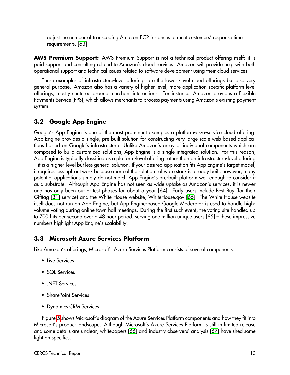adjust the number of transcoding Amazon EC2 instances to meet customers' response time requirements. [\[63\]](#page-34-19)

**AWS Premium Support:** AWS Premium Support is not a technical product offering itself; it is paid support and consulting related to Amazon's cloud services. Amazon will provide help with both operational support and technical issues related to software development using their cloud services.

These examples of infrastructure-level offerings are the lowest-level cloud offerings but also very general-purpose. Amazon also has a variety of higher-level, more application-specific platform-level offerings, mostly centered around merchant interactions. For instance, Amazon provides a Flexible Payments Service (FPS), which allows merchants to process payments using Amazon's existing payment system.

## **3.2 Google App Engine**

Google's App Engine is one of the most prominent examples a platform-as-a-service cloud offering. App Engine provides a single, pre-built solution for constructing very large scale web-based applications hosted on Google's infrastructure. Unlike Amazon's array of individual components which are composed to build customized solutions, App Engine is a single integrated solution. For this reason, App Engine is typically classified as a platform-level offering rather than an infrastructure-level offering – it is a higher-level but less general solution. If your desired application fits App Engine's target model, it requires less upfront work because more of the solution software stack is already built; however, many potential applications simply do not match App Engine's pre-built platform well enough to consider it as a substrate. Although App Engine has not seen as wide uptake as Amazon's services, it is newer and has only been out of test phases for about a year [\[64\]](#page-34-20). Early users include Best Buy (for their Gifttag [\[31\]](#page-33-9) service) and the White House website, WhiteHouse.gov [\[65\]](#page-34-21). The White House website itself does not run on App Engine, but App Engine-based Google Moderator is used to handle highvolume voting during online town hall meetings. During the first such event, the voting site handled up to 700 hits per second over a 48 hour period, serving one million unique users [\[65\]](#page-34-21) – these impressive numbers highlight App Engine's scalability.

## **3.3 Microsoft Azure Services Platform**

Like Amazon's offerings, Microsoft's Azure Services Platform consists of several components:

- Live Services
- SQL Services
- .NET Services
- SharePoint Services
- Dynamics CRM Services

Figure [5](#page-14-0) shows Microsoft's diagram of the Azure Services Platform components and how they fit into Microsoft's product landscape. Although Microsoft's Azure Services Platform is still in limited release and some details are unclear, whitepapers [\[66\]](#page-35-0) and industry observers' analysis [\[67\]](#page-35-1) have shed some light on specifics.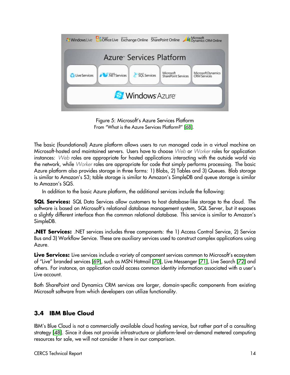

Figure 5: Microsoft's Azure Services Platform From "What is the Azure Services Platform?" [\[68\]](#page-35-2).

<span id="page-14-0"></span>The basic (foundational) Azure platform allows users to run managed code in a virtual machine on Microsoft-hosted and maintained servers. Users have to choose Web or Worker roles for application instances: Web roles are appropriate for hosted applications interacting with the outside world via the network, while Worker roles are appropriate for code that simply performs processing. The basic Azure platform also provides storage in three forms: 1) Blobs, 2) Tables and 3) Queues. Blob storage is similar to Amazon's S3; table storage is similar to Amazon's SimpleDB and queue storage is similar to Amazon's SQS.

In addition to the basic Azure platform, the additional services include the following:

**SQL Services:** SQL Data Services allow customers to host database-like storage to the cloud. The software is based on Microsoft's relational database management system, SQL Server, but it exposes a slightly different interface than the common relational database. This service is similar to Amazon's SimpleDB.

**.NET Services:** .NET services includes three components: the 1) Access Control Service, 2) Service Bus and 3) Workflow Service. These are auxiliary services used to construct complex applications using Azure.

**Live Services:** Live services include a variety of component services common to Microsoft's ecosystem of "Live" branded services [\[69\]](#page-35-3), such as MSN Hotmail [\[70\]](#page-35-4), Live Messenger [\[71\]](#page-35-5), Live Search [\[72\]](#page-35-6) and others. For instance, an application could access common identity information associated with a user's Live account.

Both SharePoint and Dynamics CRM services are larger, domain-specific components from existing Microsoft software from which developers can utilize functionality.

# **3.4 IBM Blue Cloud**

IBM's Blue Cloud is not a commercially available cloud hosting service, but rather part of a consulting strategy [\[48\]](#page-34-4). Since it does not provide infrastructure or platform-level on-demand metered computing resources for sale, we will not consider it here in our comparison.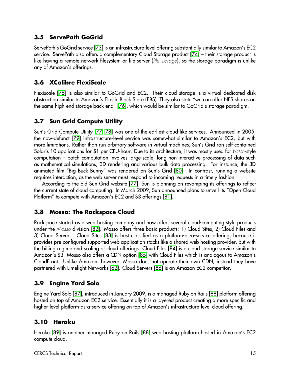## **3.5 ServePath GoGrid**

ServePath's GoGrid service [\[73\]](#page-35-7) is an infrastructure-level offering substantially similar to Amazon's EC2 service. ServePath also offers a complementary Cloud Storage product [\[74\]](#page-35-8) – their storage product is like having a remote network filesystem or file-server (file storage), so the storage paradigm is unlike any of Amazon's offerings.

# **3.6 XCalibre FlexiScale**

Flexiscale [\[75\]](#page-35-9) is also similar to GoGrid and EC2. Their cloud storage is a virtual dedicated disk abstraction similar to Amazon's Elastic Block Store (EBS). They also state "we can offer NFS shares on the same high-end storage back-end" [\[76\]](#page-35-10), which would be similar to GoGrid's storage paradigm.

# **3.7 Sun Grid Compute Utility**

Sun's Grid Compute Utility [\[77,](#page-35-11) [78\]](#page-35-12) was one of the earliest cloud-like services. Announced in 2005, the now-defunct [\[79\]](#page-35-13) infrastructure-level service was somewhat similar to Amazon's EC2, but with more limitations. Rather than run arbitrary software in virtual machines, Sun's Grid ran self-contained Solaris 10 applications for \$1 per CPU-hour. Due to its architecture, it was mostly used for batch-style computation – batch computation involves large-scale, long non-interactive processing of data such as mathematical simulations, 3D rendering and various bulk data processing. For instance, the 3D animated film "Big Buck Bunny" was rendered on Sun's Grid [\[80\]](#page-35-14). In contrast, running a website requires interaction, as the web server must respond to incoming requests in a timely fashion.

According to the old Sun Grid website [\[77\]](#page-35-11), Sun is planning on revamping its offerings to reflect the current state of cloud computing. In March 2009, Sun announced plans to unveil its "Open Cloud Platform" to compete with Amazon's EC2 and S3 offerings [\[81\]](#page-35-15).

## **3.8 Mosso: The Rackspace Cloud**

Rackspace started as a web hosting company and now offers several cloud-computing style products under the Mosso division [\[82\]](#page-35-16). Mosso offers three basic products: 1) Cloud Sites, 2) Cloud Files and 3) Cloud Servers. Cloud Sites [\[83\]](#page-35-17) is best classified as a platform-as-a-service offering, because it provides pre-configured supported web application stacks like a shared web hosting provider, but with the billing regime and scaling of cloud offerings. Cloud Files [\[84\]](#page-35-18) is a cloud storage service similar to Amazon's S3. Mosso also offers a CDN option [\[85\]](#page-35-19) with Cloud Files which is analogous to Amazon's CloudFront. Unlike Amazon, however, Mosso does not operate their own CDN; instead they have partnered with Limelight Networks [\[62\]](#page-34-18). Cloud Servers [\[86\]](#page-35-20) is an Amazon EC2 competitor.

# **3.9 Engine Yard Solo**

Engine Yard Solo [\[87\]](#page-35-21), introduced in January 2009, is a managed Ruby on Rails [\[88\]](#page-35-22) platform offering hosted on top of Amazon EC2 service. Essentially it is a layered product creating a more specific and higher-level platform-as-a-service offering on top of Amazon's infrastructure-level cloud offering.

## **3.10 Heroku**

Heroku [\[89\]](#page-35-23) is another managed Ruby on Rails [\[88\]](#page-35-22) web hosting platform hosted in Amazon's EC2 compute cloud.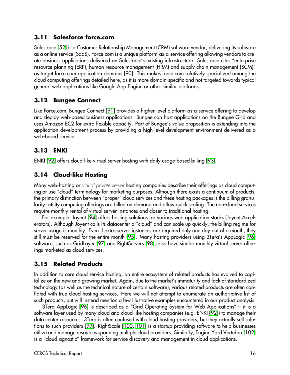## **3.11 Salesforce force.com**

Salesforce [\[52\]](#page-34-8) is a Customer Relationship Management (CRM) software vendor, delivering its software as a online service (SaaS). Force.com is a unique platform-as-a-service offering allowing vendors to create business applications delivered on Salesforce's existing infrastructure. Salesforce cites "enterprise resource planning (ERP), human resource management (HRM) and supply chain management (SCM)" as target force.com application domains [\[90\]](#page-35-24). This makes force.com relatively specialized among the cloud computing offerings detailed here, as it is more domain-specific and not targeted towards typical general web applications like Google App Engine or other similar platforms.

# **3.12 Bungee Connect**

Like Force.com, Bungee Connect [\[91\]](#page-35-25) provides a higher-level platform-as-a-service offering to develop and deploy web-based business applications. Bungee can host applications on the Bungee Grid and uses Amazon EC2 for extra flexible capacity. Part of Bungee's value proposition is extending into the application development process by providing a high-level development environment delivered as a web-based service.

# **3.13 ENKI**

ENKI [\[92\]](#page-35-26) offers cloud-like virtual server hosting with daily usage-based billing [\[93\]](#page-36-0).

# **3.14 Cloud-like Hosting**

Many web-hosting or virtual private server hosting companies describe their offerings as cloud computing or use "cloud" terminology for marketing purposes. Although there exists a continuum of products, the primary distinction between "proper" cloud services and these hosting packages is the billing granularity: utility computing offerings are billed on demand and allow quick scaling. The non-cloud services require monthly rental of virtual server instances and closer to traditional hosting.

For example, Joyent [\[94\]](#page-36-1) offers hosting solutions for various web application stacks (Joyent Accelerators). Although Joyent calls its datacenter a "cloud" and can scale up quickly, the billing regime for server usage is monthly. Even if extra server instances are required only one day out of a month, they still must be reserved for the entire month [\[95\]](#page-36-2). Many hosting providers using 3Tera's AppLogic [\[96\]](#page-36-3) software, such as GridLayer [\[97\]](#page-36-4) and RightServers [\[98\]](#page-36-5), also have similar monthly virtual server offerings marketed as cloud services.

# **3.15 Related Products**

In addition to core cloud service hosting, an entire ecosystem of related products has evolved to capitalize on the new and growing market. Again, due to the market's immaturity and lack of standardized technology (as well as the technical nature of certain software), various related products are often conflated with true cloud hosting services. Here we will not attempt to enumerate an authoritative list of such products, but will instead mention a few illustrative examples encountered in our product analysis.

3Tera AppLogic [\[96\]](#page-36-3) is described as a "Grid Operating System for Web Applications" – it is a software layer used by many cloud and cloud-like hosting companies (e.g. ENKI [\[92\]](#page-35-26)) to manage their data center resources. 3Tera is often confused with cloud hosting providers, but they actually sell solutions to such providers [\[99\]](#page-36-6). RightScale [\[100,](#page-36-7) [101\]](#page-36-8) is a startup providing software to help businesses utilize and manage resources spanning multiple cloud providers. Similarly, Engine Yard Vertebra [\[102\]](#page-36-9) is a "cloud-agnostic" framework for service discovery and management in cloud applications.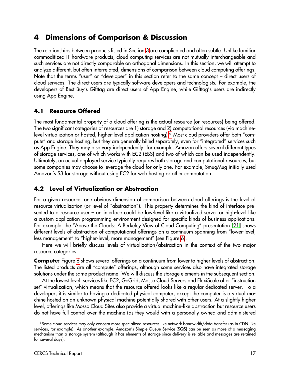# <span id="page-17-0"></span>**4 Dimensions of Comparison & Discussion**

The relationships between products listed in Section [3](#page-11-0) are complicated and often subtle. Unlike familiar commoditized IT hardware products, cloud computing services are not mutually interchangeable and such services are not directly comparable on orthogonal dimensions. In this section, we will attempt to analyze different, but often interrelated, dimensions of comparison between cloud computing offerings. Note that the terms "user" or "developer" in this section refer to the same concept – direct users of cloud services. The direct users are typically software developers and technologists. For example, the developers of Best Buy's Gifttag are direct users of App Engine, while Gifttag's users are indirectly using App Engine.

#### **4.1 Resource Offered**

The most fundamental property of a cloud offering is the actual resource (or resources) being offered. The two significant categories of resources are 1) storage and 2) computational resources (via machine-level virtualization or hosted, higher-level application hosting).<sup>[6](#page-17-1)</sup> Most cloud providers offer both "compute" and storage hosting, but they are generally billed separately, even for "integrated" services such as App Engine. They may also vary independently: for example, Amazon offers several different types of storage services, one of which works with EC2 (EBS) and two of which can be used independently. Ultimately, an actual deployed service typically requires both storage and computational resources, but some companies may choose to leverage the cloud for only one. For example, SmugMug initially used Amazon's S3 for storage without using EC2 for web hosting or other computation.

### <span id="page-17-2"></span>**4.2 Level of Virtualization or Abstraction**

For a given resource, one obvious dimension of comparison between cloud offerings is the level of resource virtualization (or level of "abstraction"). This property determines the kind of interface presented to a resource user – an interface could be low-level like a virtualized server or high-level like a custom application programming environment designed for specific kinds of business applications. For example, the "Above the Clouds: A Berkeley View of Cloud Computing" presentation [\[21\]](#page-32-20) shows different levels of abstraction of computational offerings on a continuum spanning from "lower-level, less management" to "higher-level, more management" (see Figure [6\)](#page-19-0).

Here we will briefly discuss levels of virtualization/abstraction in the context of the two major resource categories:

**Compute:** Figure [6](#page-19-0) shows several offerings on a continuum from lower to higher levels of abstraction. The listed products are all "compute" offerings, although some services also have integrated storage solutions under the same product name. We will discuss the storage elements in the subsequent section.

At the lowest level, services like EC2, GoGrid, Mosso Cloud Servers and FlexiScale offer "instruction set" virtualization, which means that the resource offered looks like a regular dedicated server. To a developer, it is similar to having a dedicated physical computer, except the computer is a virtual machine hosted on an unknown physical machine potentially shared with other users. At a slightly higher level, offerings like Mosso Cloud Sites also provide a virtual machine-like abstraction but resource users do not have full control over the machine (as they would with a personally owned and administered

<span id="page-17-1"></span><sup>6</sup> Some cloud services may only concern more specialized resources like network bandwidth/data transfer (as in CDN-like services, for example). As another example, Amazon's Simple Queue Service (SQS) can be seen as more of a messaging mechanism than a storage system (although it has elements of storage since delivery is reliable and messages are retained for several days).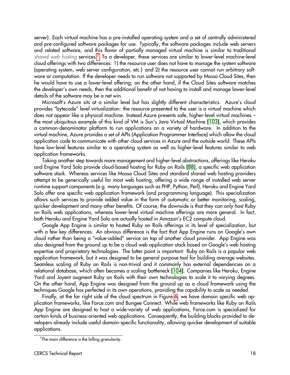server). Each virtual machine has a pre-installed operating system and a set of centrally administered and pre-configured software packages for use. Typically, the software packages include web servers and related software, and this flavor of partially managed virtual machine is similar to traditional shared web hosting services.<sup>[7](#page-18-0)</sup> To a developer, these services are similar to lower-level machine-level cloud offerings with two differences: 1) the resource user does not have to manage the system software (operating system, web server configuration, etc.) and 2) the resource user cannot run arbitrary software or computation. If the developer needs to run software not supported by Mosso Cloud Sites, then he would have to use a lower-level offering; on the other hand, if the Cloud Sites software matches the developer's own needs, then the additional benefit of not having to install and manage lower-level details of the software may be a net win.

Microsoft's Azure sits at a similar level but has slightly different characteristics. Azure's cloud provides "bytecode" level virtualization: the resource presented to the user is a virtual machine which does not appear like a physical machine. Instead Azure presents safe, higher-level virtual machines – the most ubiquitous example of this kind of VM is Sun's Java Virtual Machine [\[103\]](#page-36-10), which provides a common-denominator platform to run applications on a variety of hardware. In addition to the virtual machine, Azure provides a set of APIs (Application Programmer Interface) which allow the cloud application code to communicate with other cloud services in Azure and the outside world. These APIs have low-level features similar to a operating system as well as higher-level features similar to web application frameworks.

Taking another step towards more management and higher-level abstractions, offerings like Heroku and Engine Yard Solo provide cloud-based hosting for Ruby on Rails [\[88\]](#page-35-22), a specific web application software stack. Whereas services like Mosso Cloud Sites and standard shared web hosting providers attempt to be generically useful for most web hosting, offering a wide range of installed web server runtime support components (e.g. many languages such as PHP, Python, Perl), Heroku and Engine Yard Solo offer one specific web application framework (and programming language). This specialization allows such services to provide added value in the form of automatic or better monitoring, scaling, quicker development and many other benefits. Of course, the downside is that they can only host Ruby on Rails web applications, whereas lower-level virtual machine offerings are more general. In fact, both Heroku and Engine Yard Solo are actually hosted in Amazon's EC2 compute cloud.

Google App Engine is similar to hosted Ruby on Rails offerings in its level of specialization, but with a few key differences. An obvious difference is the fact that App Engine runs on Google's own cloud rather than being a "value-added" service on top of another cloud provider. App Engine was also designed from the ground up to be a cloud web application stack based on Google's web hosting expertise and proprietary technologies. The latter point is important: Ruby on Rails is a popular web application framework, but it was designed to be general purpose tool for building average websites. Seamless scaling of Ruby on Rails is non-trivial and it commonly has external dependencies on a relational database, which often becomes a scaling bottleneck [\[104\]](#page-36-11). Companies like Heroku, Engine Yard and Joyent augment Ruby on Rails with their own technologies to scale it to varying degrees. On the other hand, App Engine was designed from the ground up as a cloud framework using the techniques Google has perfected in its own operations, providing the capability to scale as needed.

Finally, at the far right side of the cloud spectrum in Figure [6,](#page-19-0) we have domain specific web application frameworks, like Force.com and Bungee Connect. While web frameworks like Ruby on Rails App Engine are designed to host a wide-variety of web applications, Force.com is specialized for certain kinds of business-oriented web applications. Consequently, the building blocks provided to developers already include useful domain-specific functionality, allowing quicker development of suitable applications.

<span id="page-18-0"></span> $\mathrm{^{7}The}$  main difference is the billing granularity.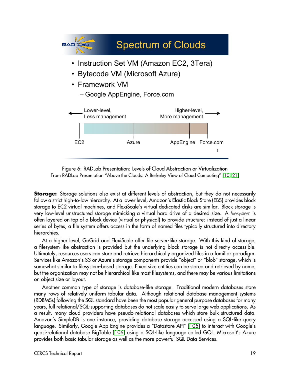

<span id="page-19-0"></span>Figure 6: RADLab Presentation: Levels of Cloud Abstraction or Virtualization From RADLab Presentation "Above the Clouds: A Berkeley View of Cloud Computing" [\[10,](#page-32-9) [21\]](#page-32-20)

**Storage:** Storage solutions also exist at different levels of abstraction, but they do not necessarily follow a strict high-to-low hierarchy. At a lower level, Amazon's Elastic Block Store (EBS) provides block storage to EC2 virtual machines, and FlexiScale's virtual dedicated disks are similar. Block storage is very low-level unstructured storage mimicking a virtual hard drive of a desired size. A filesystem is often layered on top of a block device (virtual or physical) to provide structure: instead of just a linear series of bytes, a file system offers access in the form of named files typically structured into directory hierarchies.

At a higher level, GoGrid and FlexiScale offer file server-like storage. With this kind of storage, a filesystem-like abstraction is provided but the underlying block storage is not directly accessible. Ultimately, resources users can store and retrieve hierarchically organized files in a familiar paradigm. Services like Amazon's S3 or Azure's storage components provide "object" or "blob" storage, which is somewhat similar to filesystem-based storage. Fixed size entities can be stored and retrieved by name, but the organization may not be hierarchical like most filesystems, and there may be various limitations on object size or layout.

Another common type of storage is database-like storage. Traditional modern databases store many rows of relatively uniform tabular data. Although relational database management systems (RDBMSs) following the SQL standard have been the most popular general purpose databases for many years, full relational/SQL-supporting databases do not scale easily to serve large web applications. As a result, many cloud providers have pseudo-relational databases which store bulk structured data. Amazon's SimpleDB is one instance, providing database storage accessed using a SQL-like query language. Similarly, Google App Engine provides a "Datastore API" [\[105\]](#page-36-12) to interact with Google's quasi-relational database BigTable [\[106\]](#page-36-13) using a SQL-like language called GQL. Microsoft's Azure provides both basic tabular storage as well as the more powerful SQL Data Services.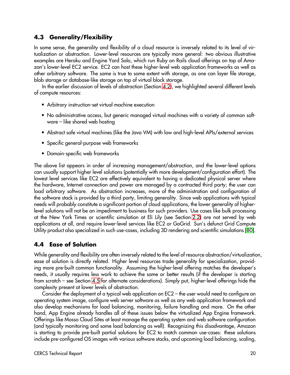# **4.3 Generality/Flexibility**

In some sense, the generality and flexibility of a cloud resource is inversely related to its level of virtualization or abstraction. Lower-level resources are typically more general: two obvious illustrative examples are Heroku and Engine Yard Solo, which run Ruby on Rails cloud offerings on top of Amazon's lower-level EC2 service. EC2 can host these higher-level web application frameworks as well as other arbitrary software. The same is true to some extent with storage, as one can layer file storage, blob storage or database-like storage on top of virtual block storage.

In the earlier discussion of levels of abstraction (Section [4.2\)](#page-17-2), we highlighted several different levels of compute resources:

- Arbitrary instruction-set virtual machine execution
- No administrative access, but generic managed virtual machines with a variety of common software – like shared web hosting
- Abstract safe virtual machines (like the Java VM) with low and high-level APIs/external services
- Specific general-purpose web frameworks
- Domain-specific web frameworks

The above list appears in order of increasing management/abstraction, and the lower-level options can usually support higher level solutions (potentially with more development/configuration effort). The lowest level services like EC2 are effectively equivalent to having a dedicated physical server where the hardware, Internet connection and power are managed by a contracted third party; the user can load arbitrary software. As abstraction increases, more of the administration and configuration of the software stack is provided by a third party, limiting generality. Since web applications with typical needs will probably constitute a significant portion of cloud applications, the lower generality of higherlevel solutions will not be an impediment to business for such providers. Use cases like bulk processing at the New York Times or scientific simulation at Eli Lily (see Section [2.2\)](#page-4-0) are not served by web applications at all, and require lower-level services like EC2 or GoGrid. Sun's defunct Grid Compute Utility product also specialized in such use-cases, including 3D rendering and scientific simulations [\[80\]](#page-35-14).

## <span id="page-20-0"></span>**4.4 Ease of Solution**

While generality and flexibility are often inversely related to the level of resource abstraction/virtualization, ease of solution is directly related. Higher level resources trade generality for specialization, providing more pre-built common functionality. Assuming the higher-level offering matches the developer's needs, it usually requires less work to achieve the same or better results (if the developer is starting from scratch – see Section [4.5](#page-21-0) for alternate considerations). Simply put, higher-level offerings hide the complexity present at lower levels of abstraction.

Consider the deployment of a typical web application on EC2 – the user would need to configure an operating system image, configure web server software as well as any web application framework and also develop mechanisms for load balancing, monitoring, failure handling and more. On the other hand, App Engine already handles all of these issues below the virtualized App Engine framework. Offerings like Mosso Cloud Sites at least manage the operating system and web software configuration (and typically monitoring and some load balancing as well). Recognizing this disadvantage, Amazon is starting to provide pre-built partial solutions for EC2 to match common use-cases: these solutions include pre-configured OS images with various software stacks, and upcoming load balancing, scaling,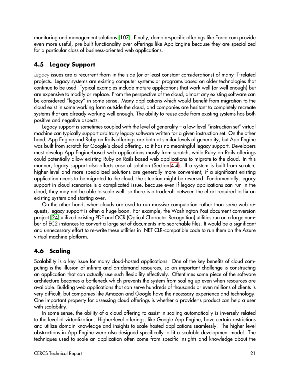monitoring and management solutions [\[107\]](#page-36-14). Finally, domain-specific offerings like Force.com provide even more useful, pre-built functionality over offerings like App Engine because they are specialized for a particular class of business-oriented web applications.

# <span id="page-21-0"></span>**4.5 Legacy Support**

Legacy issues are a recurrent thorn in the side (or at least constant considerations) of many IT-related projects. Legacy systems are existing computer systems or programs based on older technologies that continue to be used. Typical examples include mature applications that work well (or well enough) but are expensive to modify or replace. From the perspective of the cloud, almost any existing software can be considered "legacy" in some sense. Many applications which would benefit from migration to the cloud exist in some working form outside the cloud, and companies are hesitant to completely recreate systems that are already working well enough. The ability to reuse code from existing systems has both positive and negative aspects.

Legacy support is sometimes coupled with the level of generality – a low-level "instruction set" virtual machine can typically support arbitrary legacy software written for a given instruction set. On the other hand, App Engine and Ruby on Rails offerings are both at similar levels of generality, but App Engine was built from scratch for Google's cloud offering, so it has no meaningful legacy support. Developers must develop App Engine-based web applications mostly from scratch, while Ruby on Rails offerings could potentially allow existing Ruby on Rails-based web applications to migrate to the cloud. In this manner, legacy support also affects ease of solution (Section [4.4\)](#page-20-0). If a system is built from scratch, higher-level and more specialized solutions are generally more convenient; if a significant existing application needs to be migrated to the cloud, the situation might be reversed. Fundamentally, legacy support in cloud scenarios is a complicated issue, because even if legacy applications can run in the cloud, they may not be able to scale well, so there is a trade-off between the effort required to fix an existing system and starting over.

On the other hand, when clouds are used to run massive computation rather than serve web requests, legacy support is often a huge boon. For example, the Washington Post document conversion project [\[24\]](#page-33-2) utilized existing PDF and OCR (Optical Character Recognition) utilities run on a large number of EC2 instances to convert a large set of documents into searchable files. It would be a significant and unnecessary effort to re-write these utilities in .NET CLR-compatible code to run them on the Azure virtual machine platform.

# **4.6 Scaling**

Scalability is a key issue for many cloud-hosted applications. One of the key benefits of cloud computing is the illusion of infinite and on-demand resources, so an important challenge is constructing an application that can actually use such flexibility effectively. Oftentimes some piece of the software architecture becomes a bottleneck which prevents the system from scaling up even when resources are available. Building web applications that can serve hundreds of thousands or even millions of clients is very difficult, but companies like Amazon and Google have the necessary experience and technology. One important property for assessing cloud offerings is whether a provider's product can help a user with scalability.

In some sense, the ability of a cloud offering to assist in scaling automatically is inversely related to the level of virtualization. Higher-level offerings, like Google App Engine, have certain restrictions and utilize domain knowledge and insights to scale hosted applications seamlessly. The higher level abstractions in App Engine were also designed specifically to fit a scalable development model. The techniques used to scale an application often come from specific insights and knowledge about the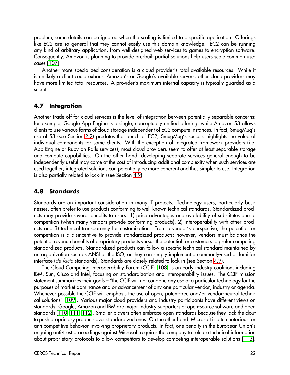problem; some details can be ignored when the scaling is limited to a specific application. Offerings like EC2 are so general that they cannot easily use this domain knowledge. EC2 can be running any kind of arbitrary application, from well-designed web services to games to encryption software. Consequently, Amazon is planning to provide pre-built partial solutions help users scale common usecases [\[107\]](#page-36-14).

Another more specialized consideration is a cloud provider's total available resources. While it is unlikely a client could exhaust Amazon's or Google's available servers, other cloud providers may have more limited total resources. A provider's maximum internal capacity is typically guarded as a secret.

#### **4.7 Integration**

Another trade-off for cloud services is the level of integration between potentially separable concerns: for example, Google App Engine is a single, conceptually unified offering, while Amazon S3 allows clients to use various forms of cloud storage independent of EC2 compute instances. In fact, SmugMug's use of S3 (see Section [2.2\)](#page-4-0) predates the launch of EC2; SmugMug's success highlights the value of individual components for some clients. With the exception of integrated framework providers (i.e. App Engine or Ruby on Rails services), most cloud providers seem to offer at least separable storage and compute capabilities. On the other hand, developing separate services general enough to be independently useful may come at the cost of introducing additional complexity when such services are used together; integrated solutions can potentially be more coherent and thus simpler to use. Integration is also partially related to lock-in (see Section [4.9\)](#page-23-0).

#### <span id="page-22-0"></span>**4.8 Standards**

Standards are an important consideration in many IT projects. Technology users, particularly businesses, often prefer to use products conforming to well-known technical standards. Standardized products may provide several benefits to users: 1) price advantages and availability of substitutes due to competition (when many vendors provide conforming products), 2) interoperability with other products and 3) technical transparency for customization. From a vendor's perspective, the potential for competition is a disincentive to provide standardized products; however, vendors must balance the potential revenue benefits of proprietary products versus the potential for customers to prefer competing standardized products. Standardized products can follow a specific technical standard maintained by an organization such as ANSI or the ISO, or they can simply implement a commonly-used or familiar interface (de facto standards). Standards are closely related to lock-in (see Section [4.9\)](#page-23-0).

The Cloud Computing Interoperability Forum (CCIF) [\[108\]](#page-36-15) is an early industry coalition, including IBM, Sun, Cisco and Intel, focusing on standardization and interoperability issues. The CCIF mission statement summarizes their goals – "the CCIF will not condone any use of a particular technology for the purposes of market dominance and or advancement of any one particular vendor, industry or agenda. Whenever possible the CCIF will emphasis the use of open, patent-free and/or vendor-neutral technical solutions" [\[109\]](#page-36-16). Various major cloud providers and industry participants have different views on standards: Google, Amazon and IBM are major industry supporters of open-source software and open standards [\[110,](#page-36-17) [111,](#page-36-18) [112\]](#page-36-19). Smaller players often embrace open standards because they lack the clout to push proprietary products over standardized ones. On the other hand, Microsoft is often notorious for anti-competitive behavior involving proprietary products. In fact, one penalty in the European Union's ongoing anti-trust proceedings against Microsoft requires the company to release technical information about proprietary protocols to allow competitors to develop competing interoperable solutions [\[113\]](#page-36-20).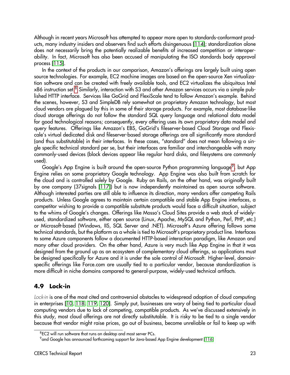Although in recent years Microsoft has attempted to appear more open to standards-conformant products, many industry insiders and observers find such efforts disingenuous [\[114\]](#page-36-21); standardization alone does not necessarily bring the potentially realizable benefits of increased competition or interoperability. In fact, Microsoft has also been accused of manipulating the ISO standards body approval process [\[115\]](#page-36-22).

In the context of the products in our comparison, Amazon's offerings are largely built using open source technologies. For example, EC2 machine images are based on the open-source Xen virtualization software and can be created with freely available tools, and EC2 virtualizes the ubiquitous Intel x86 instruction set.[8](#page-23-1) Similarly, interaction with S3 and other Amazon services occurs via a simple published HTTP interface. Services like GoGrid and FlexiScale tend to follow Amazon's example. Behind the scenes, however, S3 and SimpleDB rely somewhat on proprietary Amazon technology, but most cloud vendors are plagued by this in some of their storage products. For example, most database-like cloud storage offerings do not follow the standard SQL query language and relational data model for good technological reasons; consequently, every offering uses its own proprietary data model and query features. Offerings like Amazon's EBS, GoGrid's fileserver-based Cloud Storage and Flexiscale's virtual dedicated disk and fileserver-based storage offerings are all significantly more standard (and thus substitutable) in their interfaces. In these cases, "standard" does not mean following a single specific technical standard per se, but their interfaces are familiar and interchangeable with many commonly-used devices (block devices appear like regular hard disks, and filesystems are commonly used).

Google's App Engine is built around the open-source Python programming language<sup>[9](#page-23-2)</sup>, but App Engine relies on some proprietary Google technology. App Engine was also built from scratch for the cloud and is controlled solely by Google. Ruby on Rails, on the other hand, was originally built by one company (37signals [\[117\]](#page-36-23)) but is now independently maintained as open source software. Although interested parties are still able to influence its direction, many vendors offer competing Rails products. Unless Google agrees to maintain certain compatible and stable App Engine interfaces, a competitor wishing to provide a compatible substitute products would face a difficult situation, subject to the whims of Google's changes. Offerings like Mosso's Cloud Sites provide a web stack of widelyused, standardized software, either open source (Linux, Apache, MySQL and Python, Perl, PHP, etc.) or Microsoft-based (Windows, IIS, SQL Server and .NET). Microsoft's Azure offering follows some technical standards, but the platform as a whole is tied to Microsoft's proprietary product line. Interfaces to some Azure components follow a documented HTTP-based interaction paradigm, like Amazon and many other cloud providers. On the other hand, Azure is very much like App Engine in that it was designed from the ground up as an ecosystem of complementary cloud offerings, so applications must be designed specifically for Azure and it is under the sole control of Microsoft. Higher-level, domainspecific offerings like Force.com are usually tied to a particular vendor, because standardization is more difficult in niche domains compared to general-purpose, widely-used technical artifacts.

## <span id="page-23-0"></span>**4.9 Lock-in**

Lock-in is one of the most cited and controversial obstacles to widespread adoption of cloud computing in enterprises [\[10,](#page-32-9) [118,](#page-37-0) [119,](#page-37-1) [120\]](#page-37-2). Simply put, businesses are wary of being tied to particular cloud computing vendors due to lack of competing, compatible products. As we've discussed extensively in this study, most cloud offerings are not directly substitutable. It is risky to be tied to a single vendor because that vendor might raise prices, go out of business, become unreliable or fail to keep up with

<span id="page-23-1"></span><sup>&</sup>lt;sup>8</sup>EC2 will run software that runs on desktop and most server PCs.

<span id="page-23-2"></span> $^9$ and Google has announced forthcoming support for Java-based App Engine development [\[116\]](#page-36-24)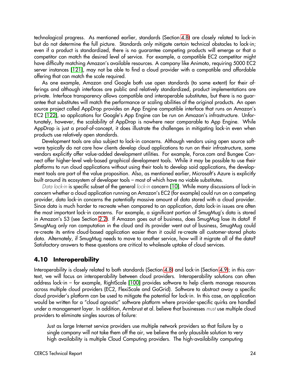technological progress. As mentioned earlier, standards (Section [4.8\)](#page-22-0) are closely related to lock-in but do not determine the full picture. Standards only mitigate certain technical obstacles to lock-in; even if a product is standardized, there is no guarantee competing products will emerge or that a competitor can match the desired level of service. For example, a compatible EC2 competitor might have difficulty matching Amazon's available resources. A company like Animoto, requiring 5000 EC2 server instances [\[121\]](#page-37-3), may not be able to find a cloud provider with a compatible and affordable offering that can match the scale required.

As one example, Amazon and Google both use open standards (to some extent) for their offerings and although interfaces are public and relatively standardized, product implementations are private. Interface transparency allows compatible and interoperable substitutes, but there is no guarantee that substitutes will match the performance or scaling abilities of the original products. An open source project called AppDrop provides an App Engine compatible interface that runs on Amazon's EC2 [\[122\]](#page-37-4), so applications for Google's App Engine can be run on Amazon's infrastructure. Unfortunately, however, the scalability of AppDrop is nowhere near comparable to App Engine. While AppDrop is just a proof-of-concept, it does illustrate the challenges in mitigating lock-in even when products use relatively open standards.

Development tools are also subject to lock-in concerns. Although vendors using open source software typically do not care how clients develop cloud applications to run on their infrastructure, some vendors explicitly offer value-added development utilities. For example, Force.com and Bungee Connect offer higher-level web-based graphical development tools. While it may be possible to use their platforms to run cloud applications without using their tools to develop said applications, the development tools are part of the value proposition. Also, as mentioned earlier, Microsoft's Azure is explicitly built around its ecosystem of developer tools – most of which have no viable substitutes.

Data lock-in is specific subset of the general lock-in concern [\[10\]](#page-32-9). While many discussions of lock-in concern whether a cloud application running on Amazon's EC2 (for example) could run on a competing provider, data lock-in concerns the potentially massive amount of data stored with a cloud provider. Since data is much harder to recreate when compared to an application, data lock-in issues are often the most important lock-in concerns. For example, a significant portion of SmugMug's data is stored in Amazon's S3 (see Section [2.2\)](#page-4-0). If Amazon goes out of business, does SmugMug lose its data? If SmugMug only ran computation in the cloud and its provider went out of business, SmugMug could re-create its entire cloud-based application easier than it could re-create all customer-stored photo data. Alternately, if SmugMug needs to move to another service, how will it migrate all of the data? Satisfactory answers to these questions are critical to wholesale uptake of cloud services.

#### <span id="page-24-0"></span>**4.10 Interoperability**

Interoperability is closely related to both standards (Section [4.8\)](#page-22-0) and lock-in (Section [4.9\)](#page-23-0); in this context, we will focus on interoperability between cloud providers. Interoperability solutions can often address lock-in – for example, RightScale [\[100\]](#page-36-7) provides software to help clients manage resources across multiple cloud providers (EC2, FlexiScale and GoGrid). Software to abstract away a specific cloud provider's platform can be used to mitigate the potential for lock-in. In this case, an application would be written for a "cloud agnostic" software platform where provider-specific quirks are handled under a management layer. In addition, Armbrust et al. believe that businesses must use multiple cloud providers to eliminate singles sources of failure:

Just as large Internet service providers use multiple network providers so that failure by a single company will not take them off the air, we believe the only plausible solution to very high availability is multiple Cloud Computing providers. The high-availability computing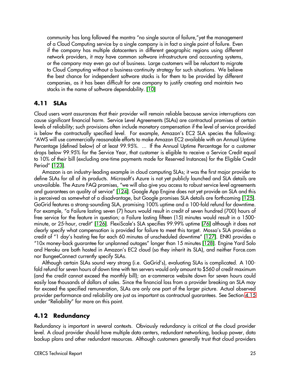community has long followed the mantra "no single source of failure,"yet the management of a Cloud Computing service by a single company is in fact a single point of failure. Even if the company has multiple datacenters in different geographic regions using different network providers, it may have common software infrastructure and accounting systems, or the company may even go out of business. Large customers will be reluctant to migrate to Cloud Computing without a business-continuity strategy for such situations. We believe the best chance for independent software stacks is for them to be provided by different companies, as it has been difficult for one company to justify creating and maintain two stacks in the name of software dependability. [\[10\]](#page-32-9)

#### <span id="page-25-0"></span>**4.11 SLAs**

Cloud users want assurances that their provider will remain reliable because service interruptions can cause significant financial harm. Service Level Agreements (SLAs) are contractual promises of certain levels of reliability; such provisions often include monetary compensation if the level of service provided is below the contractually specified level. For example, Amazon's EC2 SLA species the following: "AWS will use commercially reasonable efforts to make Amazon EC2 available with an Annual Uptime Percentage (defined below) of at least 99.95%. ... If the Annual Uptime Percentage for a customer drops below 99.95% for the Service Year, that customer is eligible to receive a Service Credit equal to 10% of their bill (excluding one-time payments made for Reserved Instances) for the Eligible Credit Period" [\[123\]](#page-37-5).

Amazon is an industry-leading example in cloud computing SLAs; it was the first major provider to define SLAs for all of its products. Microsoft's Azure is not yet publicly launched and SLA details are unavailable. The Azure FAQ promises, "we will also give you access to robust service level agreements and guarantees on quality of service" [\[124\]](#page-37-6). Google App Engine does not yet provide an SLA and this is perceived as somewhat of a disadvantage, but Google promises SLA details are forthcoming [\[125\]](#page-37-7). GoGrid features a strong-sounding SLA, promising 100% uptime and a 100-fold refund for downtime. For example, "a Failure lasting seven (7) hours would result in credit of seven hundred (700) hours of free service for the feature in question; a Failure lasting fifteen (15) minutes would result in a 1500 minute, or 25-hour, credit" [\[126\]](#page-37-8). FlexiScale's SLA specifies 99.99% uptime [\[76\]](#page-35-10) although it does not clearly specify what compensation is provided for failure to meet this target. Mosso's SLA provides a credit of "1 day's hosting fee for each 60 minutes of unscheduled downtime" [\[127\]](#page-37-9). ENKI provides a "10x money-back guarantee for unplanned outages" longer than 15 minutes [\[128\]](#page-37-10). Engine Yard Solo and Heroku are both hosted in Amazon's EC2 cloud (so they inherit its SLA), and neither Force.com nor BungeeConnect currently specify SLAs.

Although certain SLAs sound very strong (i.e. GoGrid's), evaluating SLAs is complicated. A 100 fold refund for seven hours of down time with ten servers would only amount to \$560 of credit maximum (and the credit cannot exceed the monthly bill); an e-commerce website down for seven hours could easily lose thousands of dollars of sales. Since the financial loss from a provider breaking an SLA may far exceed the specified remuneration, SLAs are only one part of the larger picture. Actual observed provider performance and reliability are just as important as contractual guarantees. See Section [4.15](#page-29-0) under "Reliability" for more on this point.

#### **4.12 Redundancy**

Redundancy is important in several contexts. Obviously redundancy is critical at the cloud provider level. A cloud provider should have multiple data centers, redundant networking, backup power, data backup plans and other redundant resources. Although customers generally trust that cloud providers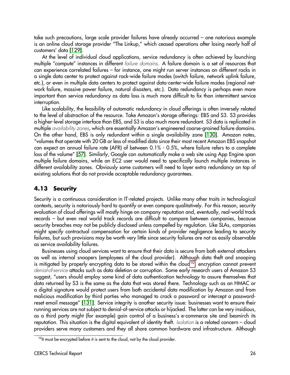take such precautions, large scale provider failures have already occurred – one notorious example is an online cloud storage provider "The Linkup," which ceased operations after losing nearly half of customers' data [\[129\]](#page-37-11).

At the level of individual cloud applications, service redundancy is often achieved by launching multiple "compute" instances in different failure domains. A failure domain is a set of resources that can experience correlated failures – for instance, one might run server instances on different racks in a single data center to protect against rack-wide failure modes (switch failure, network uplink failure, etc.), or even in multiple data centers to protect against data-center-wide failure modes (regional network failure, massive power failure, natural disasters, etc.). Data redundancy is perhaps even more important than service redundancy as data loss is much more difficult to fix than intermittent service interruption.

Like scalability, the feasibility of automatic redundancy in cloud offerings is often inversely related to the level of abstraction of the resource. Take Amazon's storage offerings: EBS and S3. S3 provides a higher-level storage interface than EBS, and S3 is also much more redundant. S3 data is replicated in multiple availability zones, which are essentially Amazon's engineered coarse-grained failure domains. On the other hand, EBS is only redundant within a single availability zone [\[130\]](#page-37-12). Amazon notes, "volumes that operate with 20 GB or less of modified data since their most recent Amazon EBS snapshot can expect an annual failure rate (AFR) of between 0.1% - 0.5%, where failure refers to a complete loss of the volume" [\[57\]](#page-34-13). Similarly, Google can automatically make a web site using App Engine span multiple failure domains, while an EC2 user would need to specifically launch multiple instances in different availability zones. Obviously some customers will need to layer extra redundancy on top of existing solutions that do not provide acceptable redundancy guarantees.

#### <span id="page-26-1"></span>**4.13 Security**

Security is a continuous consideration in IT-related projects. Unlike many other traits in technological contexts, security is notoriously hard to quantify or even compare qualitatively. For this reason, security evaluation of cloud offerings will mostly hinge on company reputation and, eventually, real-world track records – but even real world track records are difficult to compare between companies, because security breaches may not be publicly disclosed unless compelled by regulation. Like SLAs, companies might specify contractual compensation for certain kinds of provider negligence leading to security failures, but such provisions may be worth very little since security failures are not as easily observable as service availability failures.

Businesses using cloud services want to ensure that their data is secure from both external attackers as well as internal snoopers (employees of the cloud provider). Although data theft and snooping is mitigated by properly encrypting data to be stored within the cloud<sup>[10](#page-26-0)</sup>, encryption cannot prevent denial-of-service attacks such as data deletion or corruption. Some early research users of Amazon S3 suggest, "users should employ some kind of data authentication technology to assure themselves that data returned by S3 is the same as the data that was stored there. Technology such as an HMAC or a digital signature would protect users from both accidental data modification by Amazon and from malicious modification by third parties who managed to crack a password or intercept a passwordreset email message" [\[131\]](#page-37-13). Service integrity is another security issue: businesses want to ensure their running services are not subject to denial-of-service attacks or hijacked. The latter can be very insidious, as a third party might (for example) gain control of a business's e-commerce site and besmirch its reputation. This situation is the digital equivalent of identity theft. Isolation is a related concern – cloud providers serve many customers and they all share common hardware and infrastructure. Although

<span id="page-26-0"></span><sup>&</sup>lt;sup>10</sup>It must be encrypted before it is sent to the cloud, not by the cloud provider.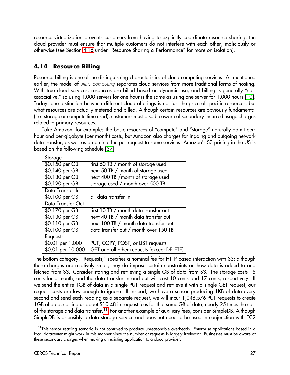resource virtualization prevents customers from having to explicitly coordinate resource sharing, the cloud provider must ensure that multiple customers do not interfere with each other, maliciously or otherwise (see Section [4.15](#page-29-0) under "Resource Sharing & Performance" for more on isolation).

## **4.14 Resource Billing**

Resource billing is one of the distinguishing characteristics of cloud computing services. As mentioned earlier, the model of *utility computing* separates cloud services from more traditional forms of hosting. With true cloud services, resources are billed based on dynamic use, and billing is generally "cost associative," so using 1,000 servers for one hour is the same as using one server for 1,000 hours [\[10\]](#page-32-9). Today, one distinction between different cloud offerings is not just the price of specific resources, but what resources are actually metered and billed. Although certain resources are obviously fundamental (i.e. storage or compute time used), customers must also be aware of secondary incurred usage charges related to primary resources.

Take Amazon, for example: the basic resources of "compute" and "storage" naturally admit perhour and per-gigabyte (per month) costs, but Amazon also charges for ingoing and outgoing network data transfer, as well as a nominal fee per request to some services. Amazon's S3 pricing in the US is based on the following schedule [\[37\]](#page-33-15):

| Storage           |                                            |  |  |
|-------------------|--------------------------------------------|--|--|
| \$0.150 per GB    | first 50 TB / month of storage used        |  |  |
| \$0.140 per GB    | next 50 TB / month of storage used         |  |  |
| \$0.130 per GB    | next 400 TB / month of storage used        |  |  |
| \$0.120 per GB    | storage used / month over 500 TB           |  |  |
| Data Transfer In  |                                            |  |  |
| \$0.100 per GB    | all data transfer in                       |  |  |
| Data Transfer Out |                                            |  |  |
| \$0.170 per GB    | first 10 TB / month data transfer out      |  |  |
| \$0.130 per GB    | next 40 TB / month data transfer out       |  |  |
| \$0.110 per GB    | next 100 TB / month data transfer out      |  |  |
| \$0.100 per GB    | data transfer out / month over 150 TB      |  |  |
| Requests          |                                            |  |  |
| \$0.01 per 1,000  | PUT, COPY, POST, or LIST requests          |  |  |
| \$0.01 per 10,000 | GET and all other requests (except DELETE) |  |  |

The bottom category, "Requests," specifies a nominal fee for HTTP-based interaction with S3; although these charges are relatively small, they do impose certain constraints on how data is added to and fetched from S3. Consider storing and retrieving a single GB of data from S3. The storage costs 15 cents for a month, and the data transfer in and out will cost 10 cents and 17 cents, respectively. If we send the entire 1GB of data in a single PUT request and retrieve it with a single GET request, our request costs are low enough to ignore. If instead, we have a sensor producing 1KB of data every second and send each reading as a separate request, we will incur 1,048,576 PUT requests to create 1GB of data, costing us about \$10.48 in request fees for that same GB of data, nearly 25 times the cost of the storage and data transfer.<sup>[11](#page-27-0)</sup> For another example of auxiliary fees, consider SimpleDB. Although SimpleDB is ostensibly a data storage service and does not need to be used in conjunction with EC2

<span id="page-27-0"></span> $11$ This sensor reading scenario is not contrived to produce unreasonable overheads. Enterprise applications based in a local datacenter might work in this manner since the number of requests is largely irrelevant. Businesses must be aware of these secondary charges when moving an existing application to a cloud provider.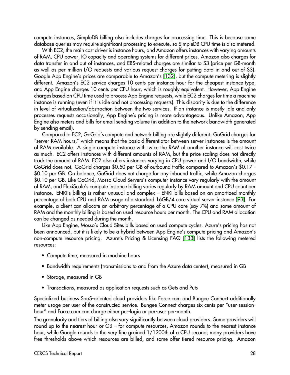compute instances, SimpleDB billing also includes charges for processing time. This is because some database queries may require significant processing to execute, so SimpleDB CPU time is also metered.

With EC2, the main cost driver is instance hours, and Amazon offers instances with varying amounts of RAM, CPU power, IO capacity and operating systems for different prices. Amazon also charges for data transfer in and out of instances, and EBS-related charges are similar to S3 (price per GB-month as well as per million I/O requests and various request charges for putting data in and out of S3). Google App Engine's prices are comparable to Amazon's [\[132\]](#page-37-14), but the compute metering is slightly different. Amazon's EC2 service charges 10 cents per instance hour for the cheapest instance type, and App Engine charges 10 cents per CPU hour, which is roughly equivalent. However, App Engine charges based on CPU time used to process App Engine requests, while EC2 charges for time a machine instance is running (even if it is idle and not processing requests). This disparity is due to the difference in level of virtualization/abstraction between the two services. If an instance is mostly idle and only processes requests occasionally, App Engine's pricing is more advantageous. Unlike Amazon, App Engine also meters and bills for email sending volume (in addition to the network bandwidth generated by sending email).

Compared to EC2, GoGrid's compute and network billing are slightly different. GoGrid charges for "server RAM hours," which means that the basic differentiator between server instances is the amount of RAM available. A single compute instance with twice the RAM of another instance will cost twice as much. EC2 offers instances with different amounts of RAM, but the price scaling does not directly track the amount of RAM. EC2 also offers instances varying in CPU power and I/O bandwidth, while GoGrid does not. GoGrid charges \$0.50 per GB of outbound traffic compared to Amazon's \$0.17 - \$0.10 per GB. On balance, GoGrid does not charge for any inbound traffic, while Amazon charges \$0.10 per GB. Like GoGrid, Mosso Cloud Servers's computer instance vary regularly with the amount of RAM, and FlexiScale's compute instance billing varies regularly by RAM amount and CPU count per instance. ENKI's billing is rather unusual and complex – ENKI bills based on an amortized monthly percentage of both CPU and RAM usage of a standard 16GB/4 core virtual server instance [\[93\]](#page-36-0). For example, a client can allocate an arbitrary percentage of a CPU core (say 7%) and some amount of RAM and the monthly billing is based on used resource hours per month. The CPU and RAM allocation can be changed as needed during the month.

Like App Engine, Mosso's Cloud Sites bills based on used compute cycles. Azure's pricing has not been announced, but it is likely to be a hybrid between App Engine's compute pricing and Amazon's non-compute resource pricing. Azure's Pricing & Licensing FAQ [\[133\]](#page-37-15) lists the following metered resources:

- Compute time, measured in machine hours
- Bandwidth requirements (transmissions to and from the Azure data center), measured in GB
- Storage, measured in GB
- Transactions, measured as application requests such as Gets and Puts

Specialized business SaaS-oriented cloud providers like Force.com and Bungee Connect additionally meter usage per user of the constructed service. Bungee Connect charges six cents per "user-sessionhour" and Force.com can charge either per-login or per-user per-month.

The granularity and tiers of billing also vary significantly between cloud providers. Some providers will round up to the nearest hour or GB – for compute resources, Amazon rounds to the nearest instance hour, while Google rounds to the very fine grained 1/1200th of a CPU second; many providers have free thresholds above which resources are billed, and some offer tiered resource pricing. Amazon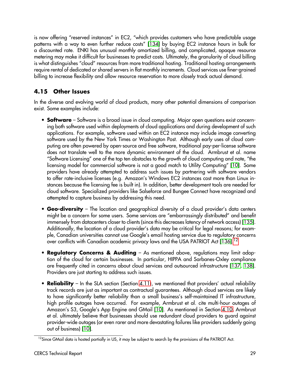is now offering "reserved instances" in EC2, "which provides customers who have predictable usage patterns with a way to even further reduce costs" [\[134\]](#page-37-16) by buying EC2 instance hours in bulk for a discounted rate. ENKI has unusual monthly amortized billing, and complicated, opaque resource metering may make it difficult for businesses to predict costs. Ultimately, the granularity of cloud billing is what distinguishes "cloud" resources from more traditional hosting. Traditional hosting arrangements require rental of dedicated or shared servers in flat monthly increments. Cloud services use finer-grained billing to increase flexibility and allow resource reservation to more closely track actual demand.

# <span id="page-29-0"></span>**4.15 Other Issues**

In the diverse and evolving world of cloud products, many other potential dimensions of comparison exist. Some examples include:

- **Software** Software is a broad issue in cloud computing. Major open questions exist concerning both software used within deployments of cloud applications and during development of such applications. For example, software used within an EC2 instance may include image converting software used by the New York Times or Washington Post. Although early uses of cloud computing are often powered by open-source and free software, traditional pay-per-license software does not translate well to the more dynamic environment of the cloud. Armbrust et al. name "Software Licensing" one of the top ten obstacles to the growth of cloud computing and note, "the licensing model for commercial software is not a good match to Utility Computing" [\[10\]](#page-32-9). Some providers have already attempted to address such issues by partnering with software vendors to offer rate-inclusive licenses (e.g. Amazon's Windows EC2 instances cost more than Linux instances because the licensing fee is built in). In addition, better development tools are needed for cloud software. Specialized providers like Salseforce and Bungee Connect have recognized and attempted to capture business by addressing this need.
- **Geo-diversity** The location and geographical diversity of a cloud provider's data centers might be a concern for some users. Some services are "embarrassingly distributed" and benefit immensely from datacenters closer to clients (since this decreases latency of network access) [\[135\]](#page-37-17). Additionally, the location of a cloud provider's data may be critical for legal reasons; for example, Canadian universities cannot use Google's email hosting service due to regulatory concerns over conflicts with Canadian academic privacy laws and the USA PATRIOT Act [\[136\]](#page-37-18).<sup>[12](#page-29-1)</sup>
- **Regulatory Concerns & Auditing** As mentioned above, regulations may limit adoption of the cloud for certain businesses. In particular, HIPPA and Sarbanes-Oxley compliance are frequently cited in concerns about cloud services and outsourced infrastructure [\[137,](#page-37-19) [138\]](#page-37-20). Providers are just starting to address such issues.
- **Reliability** In the SLA section (Section [4.11\)](#page-25-0), we mentioned that providers' actual reliability track records are just as important as contractual guarantees. Although cloud services are likely to have significantly better reliability than a small business's self-maintained IT infrastructure, high profile outages have occurred. For example, Armbrust et al. cite multi-hour outages of Amazon's S3, Google's App Engine and GMail [\[10\]](#page-32-9). As mentioned in Section [4.10,](#page-24-0) Armbrust et al. ultimately believe that businesses should use redundant cloud providers to guard against provider-wide outages (or even rarer and more devastating failures like providers suddenly going out of business) [\[10\]](#page-32-9).

<span id="page-29-1"></span> $^{12}$ Since GMail data is hosted partially in US, it may be subject to search by the provisions of the PATRIOT Act.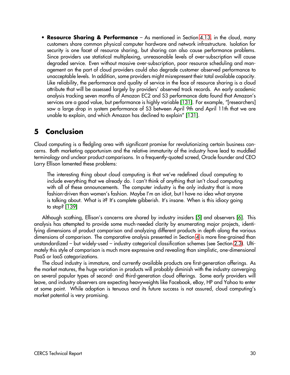• **Resource Sharing & Performance** – As mentioned in Section [4.13,](#page-26-1) in the cloud, many customers share common physical computer hardware and network infrastructure. Isolation for security is one facet of resource sharing, but sharing can also cause performance problems. Since providers use statistical multiplexing, unreasonable levels of over-subscription will cause degraded service. Even without massive over-subscription, poor resource scheduling and management on the part of cloud providers could also degrade customer observed performance to unacceptable levels. In addition, some providers might misrepresent their total available capacity. Like reliability, the performance and quality of service in the face of resource sharing is a cloud attribute that will be assessed largely by providers' observed track records. An early academic analysis tracking seven months of Amazon EC2 and S3 performance data found that Amazon's services are a good value, but performance is highly variable [\[131\]](#page-37-13). For example, "[researchers] saw a large drop in system performance of S3 between April 9th and April 11th that we are unable to explain, and which Amazon has declined to explain" [\[131\]](#page-37-13).

# <span id="page-30-0"></span>**5 Conclusion**

Cloud computing is a fledgling area with significant promise for revolutionizing certain business concerns. Both marketing opportunism and the relative immaturity of the industry have lead to muddled terminology and unclear product comparisons. In a frequently-quoted screed, Oracle founder and CEO Larry Ellison lamented these problems:

The interesting thing about cloud computing is that we've redefined cloud computing to include everything that we already do. I can't think of anything that isn't cloud computing with all of these announcements. The computer industry is the only industry that is more fashion-driven than women's fashion. Maybe I'm an idiot, but I have no idea what anyone is talking about. What is it? It's complete gibberish. It's insane. When is this idiocy going to stop? [\[139\]](#page-37-21)

Although scathing, Ellison's concerns are shared by industry insiders [\[5\]](#page-32-4) and observers [\[6\]](#page-32-5). This analysis has attempted to provide some much-needed clarity by enumerating major projects, identifying dimensions of product comparison and analyzing different products in depth along the various dimensions of comparison. The comparative analysis presented in Section [4](#page-17-0) is more fine-grained than unstandardized – but widely-used – industry categorical classification schemes (see Section [2.3\)](#page-6-0). Ultimately this style of comparison is much more expressive and revealing than simplistic, one-dimensional PaaS or IaaS categorizations.

The cloud industry is immature, and currently available products are first-generation offerings. As the market matures, the huge variation in products will probably diminish with the industry converging on several popular types of second- and third-generation cloud offerings. Some early providers will leave, and industry observers are expecting heavyweights like Facebook, eBay, HP and Yahoo to enter at some point. While adoption is tenuous and its future success is not assured, cloud computing's market potential is very promising.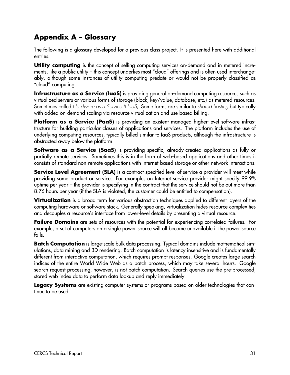# **Appendix A – Glossary**

<span id="page-31-0"></span>The following is a glossary developed for a previous class project. It is presented here with additional entries.

**Utility computing** is the concept of selling computing services on-demand and in metered increments, like a public utility – this concept underlies most "cloud" offerings and is often used interchangeably, although some instances of utility computing predate or would not be properly classified as "cloud" computing.

**Infrastructure as a Service (IaaS)** is providing general on-demand computing resources such as virtualized servers or various forms of storage (block, key/value, database, etc.) as metered resources. Sometimes called Hardware as a Service (HaaS). Some forms are similar to shared hosting but typically with added on-demand scaling via resource virtualization and use-based billing.

**Platform as a Service (PaaS)** is providing an existent managed higher-level software infrastructure for building particular classes of applications and services. The platform includes the use of underlying computing resources, typically billed similar to IaaS products, although the infrastructure is abstracted away below the platform.

**Software as a Service (SaaS)** is providing specific, already-created applications as fully or partially remote services. Sometimes this is in the form of web-based applications and other times it consists of standard non-remote applications with Internet-based storage or other network interactions.

**Service Level Agreement (SLA)** is a contract-specified level of service a provider will meet while providing some product or service. For example, an Internet service provider might specify 99.9% uptime per year – the provider is specifying in the contract that the service should not be out more than 8.76 hours per year (if the SLA is violated, the customer could be entitled to compensation).

**Virtualization** is a broad term for various abstraction techniques applied to different layers of the computing hardware or software stack. Generally speaking, virtualization hides resource complexities and decouples a resource's interface from lower-level details by presenting a virtual resource.

**Failure Domains** are sets of resources with the potential for experiencing correlated failures. For example, a set of computers on a single power source will all become unavailable if the power source fails.

**Batch Computation** is large-scale bulk data processing. Typical domains include mathematical simulations, data mining and 3D rendering. Batch computation is latency insensitive and is fundamentally different from interactive computation, which requires prompt responses. Google creates large search indices of the entire World Wide Web as a batch process, which may take several hours. Google search request processing, however, is not batch computation. Search queries use the pre-processed, stored web index data to perform data lookup and reply immediately.

**Legacy Systems** are existing computer systems or programs based on older technologies that continue to be used.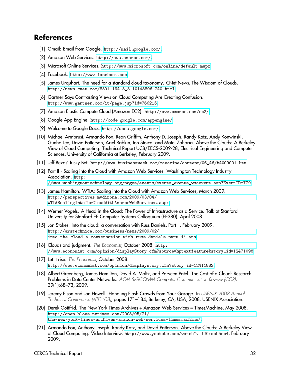## **References**

- <span id="page-32-0"></span>[1] Gmail: Email from Google. <http://mail.google.com/>.
- <span id="page-32-1"></span>[2] Amazon Web Services. <http://aws.amazon.com/>.
- <span id="page-32-2"></span>[3] Microsoft Online Services. <http://www.microsoft.com/online/default.mspx>.
- <span id="page-32-3"></span>[4] Facebook. <http://www.facebook.com>.
- <span id="page-32-4"></span>[5] James Urquhart. The need for a standard cloud taxonomy. CNet News, The Wisdom of Clouds. [http://news.cnet.com/8301-19413\\_3-10148806-240.html](http://news.cnet.com/8301-19413_3-10148806-240.html).
- <span id="page-32-5"></span>[6] Gartner Says Contrasting Views on Cloud Computing Are Creating Confusion. <http://www.gartner.com/it/page.jsp?id=766215>.
- <span id="page-32-6"></span>[7] Amazon Elastic Compute Cloud (Amazon EC2). <http://aws.amazon.com/ec2/>.
- <span id="page-32-7"></span>[8] Google App Engine. <http://code.google.com/appengine/>.
- <span id="page-32-8"></span>[9] Welcome to Google Docs. <http://docs.google.com/>.
- <span id="page-32-9"></span>[10] Michael Armbrust, Armando Fox, Rean Griffith, Anthony D. Joseph, Randy Katz, Andy Konwinski, Gunho Lee, David Patterson, Ariel Rabkin, Ion Stoica, and Matei Zaharia. Above the Clouds: A Berkeley View of Cloud Computing. Technical Report UCB/EECS-2009-28, Electrical Engineering and Computer Sciences, University of California at Berkeley, February 2009.
- <span id="page-32-10"></span>[11] Jeff Bezos' Risky Bet. [http://www.businessweek.com/magazine/content/06\\_46/b4009001.htm](http://www.businessweek.com/magazine/content/06_46/b4009001.htm).
- <span id="page-32-11"></span>[12] Part II - Scaling into the Cloud with Amazon Web Services. Washington Technology Industry Association. [http:](http://www.washingtontechnology.org/pages/events/events_events_wsaevent.asp?EventID=779) [//www.washingtontechnology.org/pages/events/events\\_events\\_wsaevent.asp?EventID=779](http://www.washingtontechnology.org/pages/events/events_events_wsaevent.asp?EventID=779).
- <span id="page-32-12"></span>[13] James Hamilton. WTIA: Scaling into the Cloud with Amazon Web Services, March 2009. [http://perspectives.mvdirona.com/2009/03/04/](http://perspectives.mvdirona.com/2009/03/04/WTIAScalingIntoTheCloudWithAmazonWebServices.aspx) [WTIAScalingIntoTheCloudWithAmazonWebServices.aspx](http://perspectives.mvdirona.com/2009/03/04/WTIAScalingIntoTheCloudWithAmazonWebServices.aspx).
- <span id="page-32-13"></span>[14] Werner Vogels. A Head in the Cloud: The Power of Infrastructure as a Service. Talk at Stanford University for Stanford EE Computer Systems Colloquium (EE380), April 2008.
- <span id="page-32-14"></span>[15] Jon Stokes. Into the cloud: a conversation with Russ Daniels, Part II, February 2009. [http://arstechnica.com/business/news/2009/02/](http://arstechnica.com/business/news/2009/02/into-the-cloud-a-conversation-with-russ-daniels-part-ii.ars) [into-the-cloud-a-conversation-with-russ-daniels-part-ii.ars](http://arstechnica.com/business/news/2009/02/into-the-cloud-a-conversation-with-russ-daniels-part-ii.ars).
- <span id="page-32-15"></span>[16] Clouds and judgment. The Economist, October 2008. [http:](http://www.economist.com/opinion/displayStory.cfm?source=hptextfeature&story_id=12471098) [//www.economist.com/opinion/displayStory.cfm?source=hptextfeature&story\\_id=12471098](http://www.economist.com/opinion/displayStory.cfm?source=hptextfeature&story_id=12471098).
- <span id="page-32-16"></span>[17] Let it rise. The Economist, October 2008. [http://www.economist.com/opinion/displaystory.cfm?story\\_id=12411882](http://www.economist.com/opinion/displaystory.cfm?story_id=12411882).
- <span id="page-32-17"></span>[18] Albert Greenberg, James Hamilton, David A. Maltz, and Parveen Patel. The Cost of a Cloud: Research Problems in Data Center Networks. ACM SIGCOMM Computer Communication Review (CCR), 39(1):68–73, 2009.
- <span id="page-32-18"></span>[19] Jeremy Elson and Jon Howell. Handling Flash Crowds from Your Garage. In USENIX 2008 Annual Technical Conference (ATC '08), pages 171–184, Berkeley, CA, USA, 2008. USENIX Association.
- <span id="page-32-19"></span>[20] Derek Gottfrid. The New York Times Archives + Amazon Web Services = TimesMachine, May 2008. [http://open.blogs.nytimes.com/2008/05/21/](http://open.blogs.nytimes.com/2008/05/21/the-new-york-times-archives-amazon-web-services-timesmachine/) [the-new-york-times-archives-amazon-web-services-timesmachine/](http://open.blogs.nytimes.com/2008/05/21/the-new-york-times-archives-amazon-web-services-timesmachine/).
- <span id="page-32-20"></span>[21] Armando Fox, Anthony Joseph, Randy Katz, and David Patterson. Above the Clouds: A Berkeley View of Cloud Computing. Video Interview. <http://www.youtube.com/watch?v=IJCxqoh5ep4>, February 2009.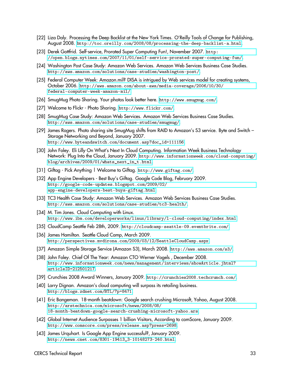- <span id="page-33-0"></span>[22] Liza Daly. Processing the Deep Backlist at the New York Times. O'Reilly Tools of Change for Publishing, August 2008. <http://toc.oreilly.com/2008/08/processing-the-deep-backlist-a.html>.
- <span id="page-33-1"></span>[23] Derek Gottfrid. Self-service, Prorated Super Computing Fun!, November 2007. [http:](http://open.blogs.nytimes.com/2007/11/01/self-service-prorated-super-computing-fun/) [//open.blogs.nytimes.com/2007/11/01/self-service-prorated-super-computing-fun/](http://open.blogs.nytimes.com/2007/11/01/self-service-prorated-super-computing-fun/).
- <span id="page-33-2"></span>[24] Washington Post Case Study: Amazon Web Services. Amazon Web Services Business Case Studies. <http://aws.amazon.com/solutions/case-studies/washington-post/>.
- <span id="page-33-3"></span>[25] Federal Computer Week: Amazon.mil? DISA is intrigued by Web services model for creating systems, October 2006. [http://aws.amazon.com/about-aws/media-coverage/2006/10/30/](http://aws.amazon.com/about-aws/media-coverage/2006/10/30/federal-computer-week-amazon-mil/) [federal-computer-week-amazon-mil/](http://aws.amazon.com/about-aws/media-coverage/2006/10/30/federal-computer-week-amazon-mil/).
- <span id="page-33-4"></span>[26] SmugMug Photo Sharing. Your photos look better here. <http://www.smugmug.com/>.
- <span id="page-33-5"></span>[27] Welcome to Flickr - Photo Sharing. <http://www.flickr.com/>.
- <span id="page-33-6"></span>[28] SmugMug Case Study: Amazon Web Services. Amazon Web Services Business Case Studies. <http://aws.amazon.com/solutions/case-studies/smugmug/>.
- <span id="page-33-7"></span>[29] James Rogers. Photo sharing site SmugMug shifts from RAID to Amazon's S3 service. Byte and Switch – Storage Networking and Beyond, January 2007. [http://www.byteandswitch.com/document.asp?doc\\_id=111156](http://www.byteandswitch.com/document.asp?doc_id=111156).
- <span id="page-33-8"></span>[30] John Foley. Eli Lilly On What's Next In Cloud Computing. Information Week Business Technology Network: Plug Into the Cloud, January 2009. [http://www.informationweek.com/cloud-computing/](http://www.informationweek.com/cloud-computing/blog/archives/2009/01/whats_next_in_t.html) [blog/archives/2009/01/whats\\_next\\_in\\_t.html](http://www.informationweek.com/cloud-computing/blog/archives/2009/01/whats_next_in_t.html).
- <span id="page-33-9"></span>[31] Giftag - Pick Anything | Welcome to Giftag. <http://www.giftag.com/>.
- <span id="page-33-10"></span>[32] App Engine Developers - Best Buy's Giftag. Google Code Blog, February 2009. [http://google-code-updates.blogspot.com/2009/02/](http://google-code-updates.blogspot.com/2009/02/app-engine-developers-best-buys-giftag.html) [app-engine-developers-best-buys-giftag.html](http://google-code-updates.blogspot.com/2009/02/app-engine-developers-best-buys-giftag.html).
- <span id="page-33-11"></span>[33] TC3 Health Case Study: Amazon Web Services. Amazon Web Services Business Case Studies. <http://aws.amazon.com/solutions/case-studies/tc3-health/>.
- <span id="page-33-12"></span>[34] M. Tim Jones. Cloud Computing with Linux. <http://www.ibm.com/developerworks/linux/library/l-cloud-computing/index.html>.
- <span id="page-33-13"></span>[35] CloudCamp Seattle Feb 28th, 2009. <http://cloudcamp-seattle-09.eventbrite.com/>.
- <span id="page-33-14"></span>[36] James Hamilton. Seattle Cloud Camp, March 2009. <http://perspectives.mvdirona.com/2009/03/12/SeattleCloudCamp.aspx>.
- <span id="page-33-15"></span>[37] Amazon Simple Storage Service (Amazon S3), March 2008. <http://aws.amazon.com/s3/>.
- <span id="page-33-16"></span>[38] John Foley. Chief Of The Year: Amazon CTO Werner Vogels, December 2008. [http://www.informationweek.com/news/management/interviews/showArticle.jhtml?](http://www.informationweek.com/news/management/interviews/showArticle.jhtml?articleID=212501217) [articleID=212501217](http://www.informationweek.com/news/management/interviews/showArticle.jhtml?articleID=212501217).
- <span id="page-33-17"></span>[39] Crunchies 2008 Award Winners, January 2009. <http://crunchies2008.techcrunch.com/>.
- <span id="page-33-18"></span>[40] Larry Dignan. Amazon's cloud computing will surpass its retailing business. <http://blogs.zdnet.com/BTL/?p=8471>.
- <span id="page-33-19"></span>[41] Eric Bangeman. 18-month beatdown: Google search crushing Microsoft, Yahoo, August 2008. [http://arstechnica.com/microsoft/news/2008/08/](http://arstechnica.com/microsoft/news/2008/08/18-month-beatdown-google-search-crushing-microsoft-yahoo.ars) [18-month-beatdown-google-search-crushing-microsoft-yahoo.ars](http://arstechnica.com/microsoft/news/2008/08/18-month-beatdown-google-search-crushing-microsoft-yahoo.ars).
- <span id="page-33-20"></span>[42] Global Internet Audience Surpasses 1 billion Visitors, According to comScore, January 2009. <http://www.comscore.com/press/release.asp?press=2698>.
- <span id="page-33-21"></span>[43] James Urquhart. Is Google App Engine successful?, January 2009. [http://news.cnet.com/8301-19413\\_3-10148273-240.html](http://news.cnet.com/8301-19413_3-10148273-240.html).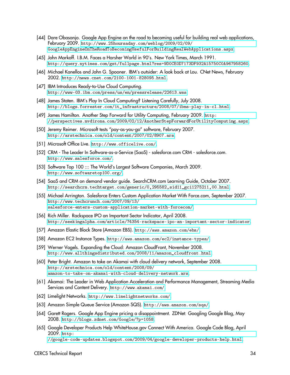- <span id="page-34-0"></span>[44] Dare Obasanjo. Google App Engine on the road to becoming useful for building real web applications, February 2009. [http://www.25hoursaday.com/weblog/2009/02/09/](http://www.25hoursaday.com/weblog/2009/02/09/GoogleAppEngineOnTheRoadToBecomingUsefulForBuildingRealWebApplications.aspx) [GoogleAppEngineOnTheRoadToBecomingUsefulForBuildingRealWebApplications.aspx](http://www.25hoursaday.com/weblog/2009/02/09/GoogleAppEngineOnTheRoadToBecomingUsefulForBuildingRealWebApplications.aspx).
- <span id="page-34-1"></span>[45] John Markoff. I.B.M. Faces a Harsher World in 90's. New York Times, March 1991. <http://query.nytimes.com/gst/fullpage.html?res=9D0CE0D7173DF932A15750C0A967958260>.
- <span id="page-34-2"></span>[46] Michael Kanellos and John G. Spooner. IBM's outsider: A look back at Lou. CNet News, February 2002. <http://news.cnet.com/2100-1001-828095.html>.
- <span id="page-34-3"></span>[47] IBM Introduces Ready-to-Use Cloud Computing. <http://www-03.ibm.com/press/us/en/pressrelease/22613.wss>.
- <span id="page-34-4"></span>[48] James Staten. IBM's Play In Cloud Computing? Listening Carefully, July 2008. [http://blogs.forrester.com/it\\_infrastructure/2008/07/ibms-play-in-cl.html](http://blogs.forrester.com/it_infrastructure/2008/07/ibms-play-in-cl.html).
- <span id="page-34-5"></span>[49] James Hamilton. Another Step Forward for Utility Computing, February 2009. [http:](http://perspectives.mvdirona.com/2009/02/12/AnotherStepForwardForUtilityComputing.aspx) [//perspectives.mvdirona.com/2009/02/12/AnotherStepForwardForUtilityComputing.aspx](http://perspectives.mvdirona.com/2009/02/12/AnotherStepForwardForUtilityComputing.aspx).
- <span id="page-34-6"></span>[50] Jeremy Reimer. Microsoft tests "pay-as-you-go" software, February 2007. <http://arstechnica.com/old/content/2007/02/8907.ars>.
- <span id="page-34-7"></span>[51] Microsoft Office Live. <http://www.officelive.com/>.
- <span id="page-34-8"></span>[52] CRM - The Leader In Software-as-a-Service (SaaS) - salesforce.com CRM - salesforce.com. <http://www.salesforce.com/>.
- <span id="page-34-9"></span>[53] Software Top 100 ::: The World's Largest Software Companies, March 2009. <http://www.softwaretop100.org/>.
- <span id="page-34-10"></span>[54] SaaS and CRM on demand vendor guide. SearchCRM.com Learning Guide, October 2007. [http://searchcrm.techtarget.com/generic/0,295582,sid11\\_gci1275211,00.html](http://searchcrm.techtarget.com/generic/0,295582,sid11_gci1275211,00.html).
- <span id="page-34-11"></span>[55] Michael Arrington. Salesforce Enters Custom Application Market With Force.com, September 2007. [http://www.techcrunch.com/2007/09/13/](http://www.techcrunch.com/2007/09/13/salesforce-enters-custom-application-market-with-forcecom/) [salesforce-enters-custom-application-market-with-forcecom/](http://www.techcrunch.com/2007/09/13/salesforce-enters-custom-application-market-with-forcecom/).
- <span id="page-34-12"></span>[56] Rich Miller. Rackspace IPO an Important Sector Indicator, April 2008. <http://seekingalpha.com/article/74354-rackspace-ipo-an-important-sector-indicator>.
- <span id="page-34-13"></span>[57] Amazon Elastic Block Store (Amazon EBS). <http://aws.amazon.com/ebs/>.
- <span id="page-34-14"></span>[58] Amazon EC2 Instance Types. <http://aws.amazon.com/ec2/instance-types/>.
- <span id="page-34-15"></span>[59] Werner Vogels. Expanding the Cloud: Amazon CloudFront, November 2008. [http://www.allthingsdistributed.com/2008/11/amazon\\_cloudfront.html](http://www.allthingsdistributed.com/2008/11/amazon_cloudfront.html).
- <span id="page-34-16"></span>[60] Peter Bright. Amazon to take on Akamai with cloud delivery network, September 2008. [http://arstechnica.com/old/content/2008/09/](http://arstechnica.com/old/content/2008/09/amazon-to-take-on-akamai-with-cloud-delivery-network.ars) [amazon-to-take-on-akamai-with-cloud-delivery-network.ars](http://arstechnica.com/old/content/2008/09/amazon-to-take-on-akamai-with-cloud-delivery-network.ars).
- <span id="page-34-17"></span>[61] Akamai: The Leader in Web Application Acceleration and Performance Management, Streaming Media Services and Content Delivery. <http://www.akamai.com/>.
- <span id="page-34-18"></span>[62] Limelight Networks. <http://www.limelightnetworks.com/>.
- <span id="page-34-19"></span>[63] Amazon Simple Queue Service (Amazon SQS). <http://aws.amazon.com/sqs/>.
- <span id="page-34-20"></span>[64] Garett Rogers. Google App Engine pricing a disappointment. ZDNet: Googling Google Blog, May 2008. <http://blogs.zdnet.com/Google/?p=1058>.
- <span id="page-34-21"></span>[65] Google Developer Products Help WhiteHouse.gov Connect With America. Google Code Blog, April 2009. [http:](http://google-code-updates.blogspot.com/2009/04/google-developer-products-help.html)

[//google-code-updates.blogspot.com/2009/04/google-developer-products-help.html](http://google-code-updates.blogspot.com/2009/04/google-developer-products-help.html).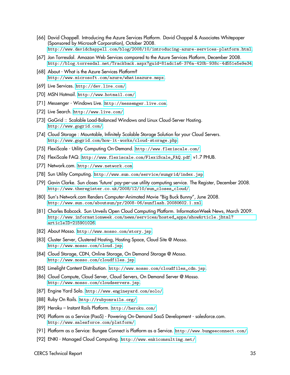- <span id="page-35-0"></span>[66] David Chappell. Introducing the Azure Services Platform. David Chappel & Associates Whitepaper (Sponsored by Microsoft Corporation), October 2008. <http://www.davidchappell.com/blog/2008/10/introducing-azure-services-platform.html>.
- <span id="page-35-1"></span>[67] Jon Torresdal. Amazon Web Services compared to the Azure Services Platform, December 2008. <http://blog.torresdal.net/Trackback.aspx?guid=81adc1a6-376a-420b-938c-4d551e5e9e34>.
- <span id="page-35-2"></span>[68] About - What is the Azure Services Platform? <http://www.microsoft.com/azure/whatisazure.mspx>.
- <span id="page-35-3"></span>[69] Live Services. <http://dev.live.com/>.
- <span id="page-35-4"></span>[70] MSN Hotmail. <http://www.hotmail.com/>.
- <span id="page-35-5"></span>[71] Messenger - Windows Live. <http://messenger.live.com>.
- <span id="page-35-6"></span>[72] Live Search. <http://www.live.com/>.
- <span id="page-35-7"></span>[73] GoGrid :: Scalable Load-Balanced Windows and Linux Cloud-Server Hosting. <http://www.gogrid.com/>.
- <span id="page-35-8"></span>[74] Cloud Storage : Mountable, Infinitely Scalable Storage Solution for your Cloud Servers. <http://www.gogrid.com/how-it-works/cloud-storage.php>.
- <span id="page-35-9"></span>[75] FlexiScale - Utility Computing On-Demand. <http://www.flexiscale.com/>.
- <span id="page-35-10"></span>[76] FlexiScale FAQ. [http://www.flexiscale.com/FlexiScale\\_FAQ.pdf](http://www.flexiscale.com/FlexiScale_FAQ.pdf). v1.7 PHUB.
- <span id="page-35-11"></span>[77] Network.com. <http://www.network.com>.
- <span id="page-35-12"></span>[78] Sun Utility Computing. <http://www.sun.com/service/sungrid/index.jsp>.
- <span id="page-35-13"></span>[79] Gavin Clarke. Sun closes 'future' pay-per-use utility computing service. The Register, December 2008. [http://www.theregister.co.uk/2008/12/10/sun\\_closes\\_cloud/](http://www.theregister.co.uk/2008/12/10/sun_closes_cloud/).
- <span id="page-35-14"></span>[80] Sun's Network.com Renders Computer-Animated Movie "Big Buck Bunny", June 2008. <http://www.sun.com/aboutsun/pr/2008-06/sunflash.20080602.1.xml>.
- <span id="page-35-15"></span>[81] Charles Babcock. Sun Unveils Open Cloud Computing Platform. InformationWeek News, March 2009. [http://www.informationweek.com/news/services/hosted\\_apps/showArticle.jhtml?](http://www.informationweek.com/news/services/hosted_apps/showArticle.jhtml?articleID=215901026) [articleID=215901026](http://www.informationweek.com/news/services/hosted_apps/showArticle.jhtml?articleID=215901026).
- <span id="page-35-16"></span>[82] About Mosso. <http://www.mosso.com/story.jsp>.
- <span id="page-35-17"></span>[83] Cluster Server, Clustered Hosting, Hosting Space, Cloud Site @ Mosso. <http://www.mosso.com/cloud.jsp>.
- <span id="page-35-18"></span>[84] Cloud Storage, CDN, Online Storage, On Demand Storage @ Mosso. <http://www.mosso.com/cloudfiles.jsp>.
- <span id="page-35-19"></span>[85] Limelight Content Distribution. [http://www.mosso.com/cloudfiles\\_cdn.jsp](http://www.mosso.com/cloudfiles_cdn.jsp).
- <span id="page-35-20"></span>[86] Cloud Compute, Cloud Server, Cloud Servers, On Demand Server @ Mosso. <http://www.mosso.com/cloudservers.jsp>.
- <span id="page-35-21"></span>[87] Engine Yard Solo. <http://www.engineyard.com/solo/>.
- <span id="page-35-22"></span>[88] Ruby On Rails. <http://rubyonrails.org/>.
- <span id="page-35-23"></span>[89] Heroku – Instant Rails Platform. <http://heroku.com/>.
- <span id="page-35-24"></span>[90] Platform as a Service (PaaS) - Powering On-Demand SaaS Development - salesforce.com. <http://www.salesforce.com/platform/>.
- <span id="page-35-25"></span>[91] Platform as a Service: Bungee Connect is Platform as a Service. <http://www.bungeeconnect.com/>.
- <span id="page-35-26"></span>[92] ENKI - Managed Cloud Computing. <http://www.enkiconsulting.net/>.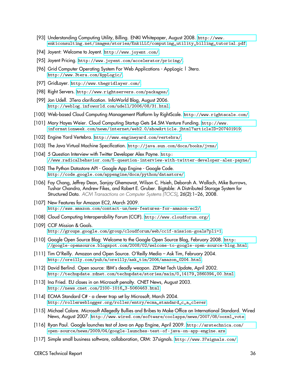- <span id="page-36-0"></span>[93] Understanding Computing Utility, Billing. ENKI Whitepaper, August 2008. [http://www.](http://www.enkiconsulting.net/images/stories/EnkiLLC/computing_utility_billing_tutorial.pdf) [enkiconsulting.net/images/stories/EnkiLLC/computing\\_utility\\_billing\\_tutorial.pdf](http://www.enkiconsulting.net/images/stories/EnkiLLC/computing_utility_billing_tutorial.pdf).
- <span id="page-36-1"></span>[94] Joyent: Welcome to Joyent. <http://www.joyent.com/>.
- <span id="page-36-2"></span>[95] Joyent Pricing. <http://www.joyent.com/accelerator/pricing/>.
- <span id="page-36-3"></span>[96] Grid Computer Operating System For Web Applications - AppLogic | 3tera. <http://www.3tera.com/AppLogic/>.
- <span id="page-36-4"></span>[97] GridLayer. <http://www.thegridlayer.com/>.
- <span id="page-36-5"></span>[98] Right Servers. <http://www.rightservers.com/packages/>.
- <span id="page-36-6"></span>[99] Jon Udell. 3Tera clarification. InfoWorld Blog, August 2006. <http://weblog.infoworld.com/udell/2006/08/31.html>.
- <span id="page-36-7"></span>[100] Web-based Cloud Computing Management Platform by RightScale. <http://www.rightscale.com/>.
- <span id="page-36-8"></span>[101] Mary Hayes Weier. Cloud Computing Startup Gets \$4.5M Venture Funding. [http://www.](http://www.informationweek.com/news/internet/web2.0/showArticle.jhtml?articleID=207401919) [informationweek.com/news/internet/web2.0/showArticle.jhtml?articleID=207401919](http://www.informationweek.com/news/internet/web2.0/showArticle.jhtml?articleID=207401919).
- <span id="page-36-9"></span>[102] Engine Yard Vertebra. <http://www.engineyard.com/vertebra/>.
- <span id="page-36-10"></span>[103] The Java Virtual Machine Specification. <http://java.sun.com/docs/books/jvms/>.
- <span id="page-36-11"></span>[104] 5 Question Interview with Twitter Developer Alex Payne. [http:](http://www.radicalbehavior.com/5-question-interview-with-twitter-developer-alex-payne/) [//www.radicalbehavior.com/5-question-interview-with-twitter-developer-alex-payne/](http://www.radicalbehavior.com/5-question-interview-with-twitter-developer-alex-payne/).
- <span id="page-36-12"></span>[105] The Python Datastore API - Google App Engine - Google Code. <http://code.google.com/appengine/docs/python/datastore/>.
- <span id="page-36-13"></span>[106] Fay Chang, Jeffrey Dean, Sanjay Ghemawat, Wilson C. Hsieh, Deborah A. Wallach, Mike Burrows, Tushar Chandra, Andrew Fikes, and Robert E. Gruber. Bigtable: A Distributed Storage System for Structured Data. ACM Transactions on Computer Systems (TOCS), 26(2):1–26, 2008.
- <span id="page-36-14"></span>[107] New Features for Amazon EC2, March 2009. <http://aws.amazon.com/contact-us/new-features-for-amazon-ec2/>.
- <span id="page-36-15"></span>[108] Cloud Computing Interoperability Forum (CCIF). <http://www.cloudforum.org/>.
- <span id="page-36-16"></span>[109] CCIF Mission & Goals. <http://groups.google.com/group/cloudforum/web/ccif-mission-goals?pli=1>.
- <span id="page-36-17"></span>[110] Google Open Source Blog: Welcome to the Google Open Source Blog, February 2008. [http:](http://google-opensource.blogspot.com/2008/02/welcome-to-google-open-source-blog.html) [//google-opensource.blogspot.com/2008/02/welcome-to-google-open-source-blog.html](http://google-opensource.blogspot.com/2008/02/welcome-to-google-open-source-blog.html).
- <span id="page-36-18"></span>[111] Tim O'Reilly. Amazon and Open Source. O'Reilly Media – Ask Tim, February 2004. [http://oreilly.com/pub/a/oreilly/ask\\_tim/2004/amazon\\_0204.html](http://oreilly.com/pub/a/oreilly/ask_tim/2004/amazon_0204.html).
- <span id="page-36-19"></span>[112] David Berlind. Open source: IBM's deadly weapon. ZDNet Tech Update, April 2002. <http://techupdate.zdnet.com/techupdate/stories/main/0,14179,2860394,00.html>.
- <span id="page-36-20"></span>[113] Ina Fried. EU closes in on Microsoft penalty. CNET News, August 2003. [http://news.cnet.com/2100-1016\\_3-5060463.html](http://news.cnet.com/2100-1016_3-5060463.html).
- <span id="page-36-21"></span>[114] ECMA Standard C# - a clever trap set by Microsoft, March 2004. [http://rollerweblogger.org/roller/entry/ecma\\_standard\\_c\\_a\\_clever](http://rollerweblogger.org/roller/entry/ecma_standard_c_a_clever).
- <span id="page-36-22"></span>[115] Michael Calore. Microsoft Allegedly Bullies and Bribes to Make Office an International Standard. Wired News, August 2007. [http://www.wired.com/software/coolapps/news/2007/08/ooxml\\_vote](http://www.wired.com/software/coolapps/news/2007/08/ooxml_vote).
- <span id="page-36-24"></span>[116] Ryan Paul. Google launches test of Java on App Engine, April 2009. [http://arstechnica.com/](http://arstechnica.com/open-source/news/2009/04/google-launches-test-of-java-on-app-engine.ars) [open-source/news/2009/04/google-launches-test-of-java-on-app-engine.ars](http://arstechnica.com/open-source/news/2009/04/google-launches-test-of-java-on-app-engine.ars).
- <span id="page-36-23"></span>[117] Simple small business software, collaboration, CRM: 37signals. <http://www.37signals.com/>.

CERCS Technical Report 36